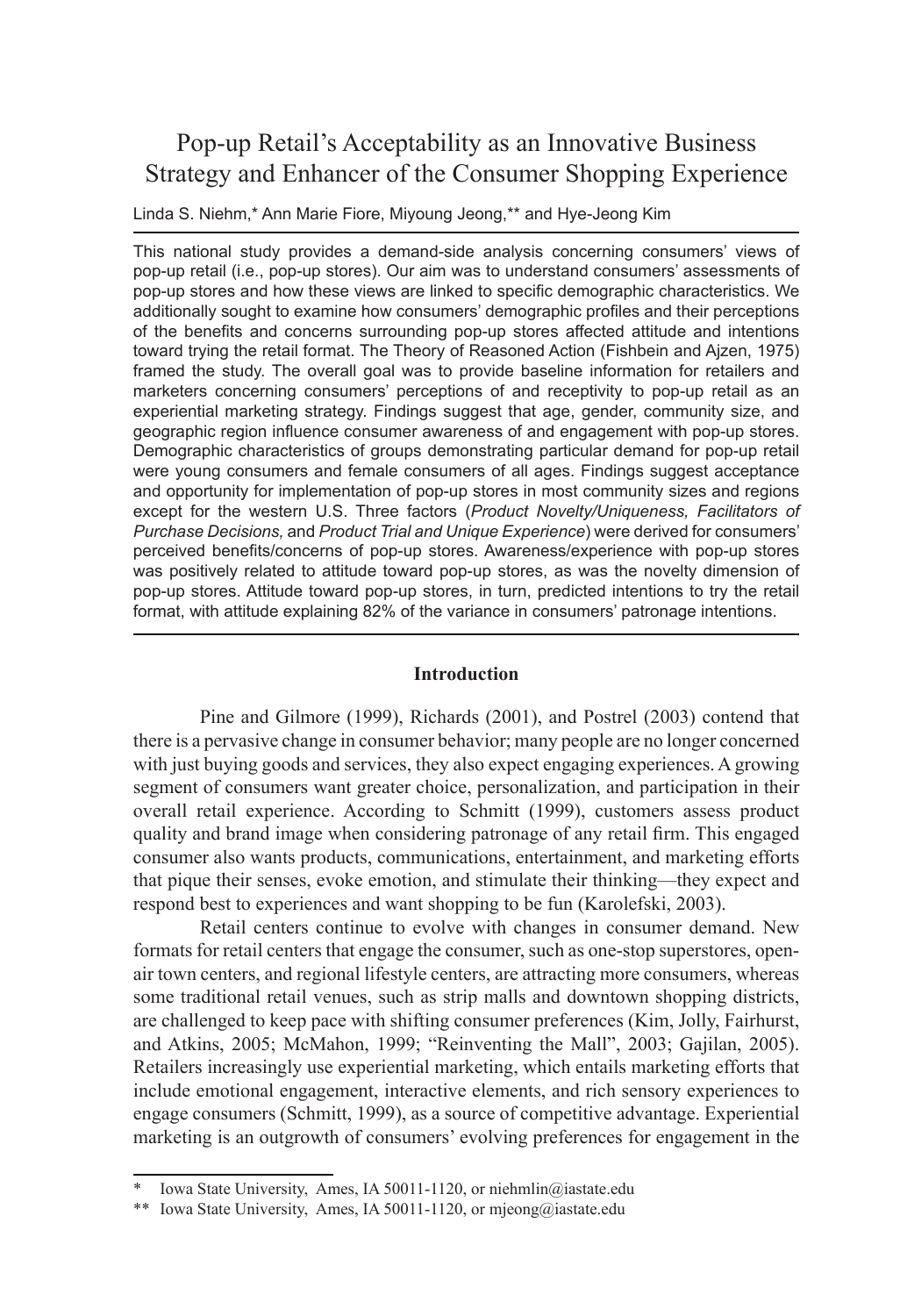# Pop-up Retail's Acceptability as an Innovative Business Strategy and Enhancer of the Consumer Shopping Experience

Linda S. Niehm,\* Ann Marie Fiore, Miyoung Jeong,\*\* and Hye-Jeong Kim

This national study provides a demand-side analysis concerning consumers' views of pop-up retail (i.e., pop-up stores). Our aim was to understand consumers' assessments of pop-up stores and how these views are linked to specific demographic characteristics. We additionally sought to examine how consumers' demographic profiles and their perceptions of the benefits and concerns surrounding pop-up stores affected attitude and intentions toward trying the retail format. The Theory of Reasoned Action (Fishbein and Ajzen, 1975) framed the study. The overall goal was to provide baseline information for retailers and marketers concerning consumers' perceptions of and receptivity to pop-up retail as an experiential marketing strategy. Findings suggest that age, gender, community size, and geographic region influence consumer awareness of and engagement with pop-up stores. Demographic characteristics of groups demonstrating particular demand for pop-up retail were young consumers and female consumers of all ages. Findings suggest acceptance and opportunity for implementation of pop-up stores in most community sizes and regions except for the western U.S. Three factors (*Product Novelty/Uniqueness, Facilitators of Purchase Decisions,* and *Product Trial and Unique Experience*) were derived for consumers' perceived benefits/concerns of pop-up stores. Awareness/experience with pop-up stores was positively related to attitude toward pop-up stores, as was the novelty dimension of pop-up stores. Attitude toward pop-up stores, in turn, predicted intentions to try the retail format, with attitude explaining 82% of the variance in consumers' patronage intentions.

#### **Introduction**

Pine and Gilmore (1999), Richards (2001), and Postrel (2003) contend that there is a pervasive change in consumer behavior; many people are no longer concerned with just buying goods and services, they also expect engaging experiences. A growing segment of consumers want greater choice, personalization, and participation in their overall retail experience. According to Schmitt (1999), customers assess product quality and brand image when considering patronage of any retail firm. This engaged consumer also wants products, communications, entertainment, and marketing efforts that pique their senses, evoke emotion, and stimulate their thinking—they expect and respond best to experiences and want shopping to be fun (Karolefski, 2003).

Retail centers continue to evolve with changes in consumer demand. New formats for retail centers that engage the consumer, such as one-stop superstores, openair town centers, and regional lifestyle centers, are attracting more consumers, whereas some traditional retail venues, such as strip malls and downtown shopping districts, are challenged to keep pace with shifting consumer preferences (Kim, Jolly, Fairhurst, and Atkins, 2005; McMahon, 1999; "Reinventing the Mall", 2003; Gajilan, 2005). Retailers increasingly use experiential marketing, which entails marketing efforts that include emotional engagement, interactive elements, and rich sensory experiences to engage consumers (Schmitt, 1999), as a source of competitive advantage. Experiential marketing is an outgrowth of consumers' evolving preferences for engagement in the

Iowa State University, Ames, IA 50011-1120, or niehmlin@iastate.edu

<sup>\*\*</sup> Iowa State University, Ames, IA 50011-1120, or mjeong@iastate.edu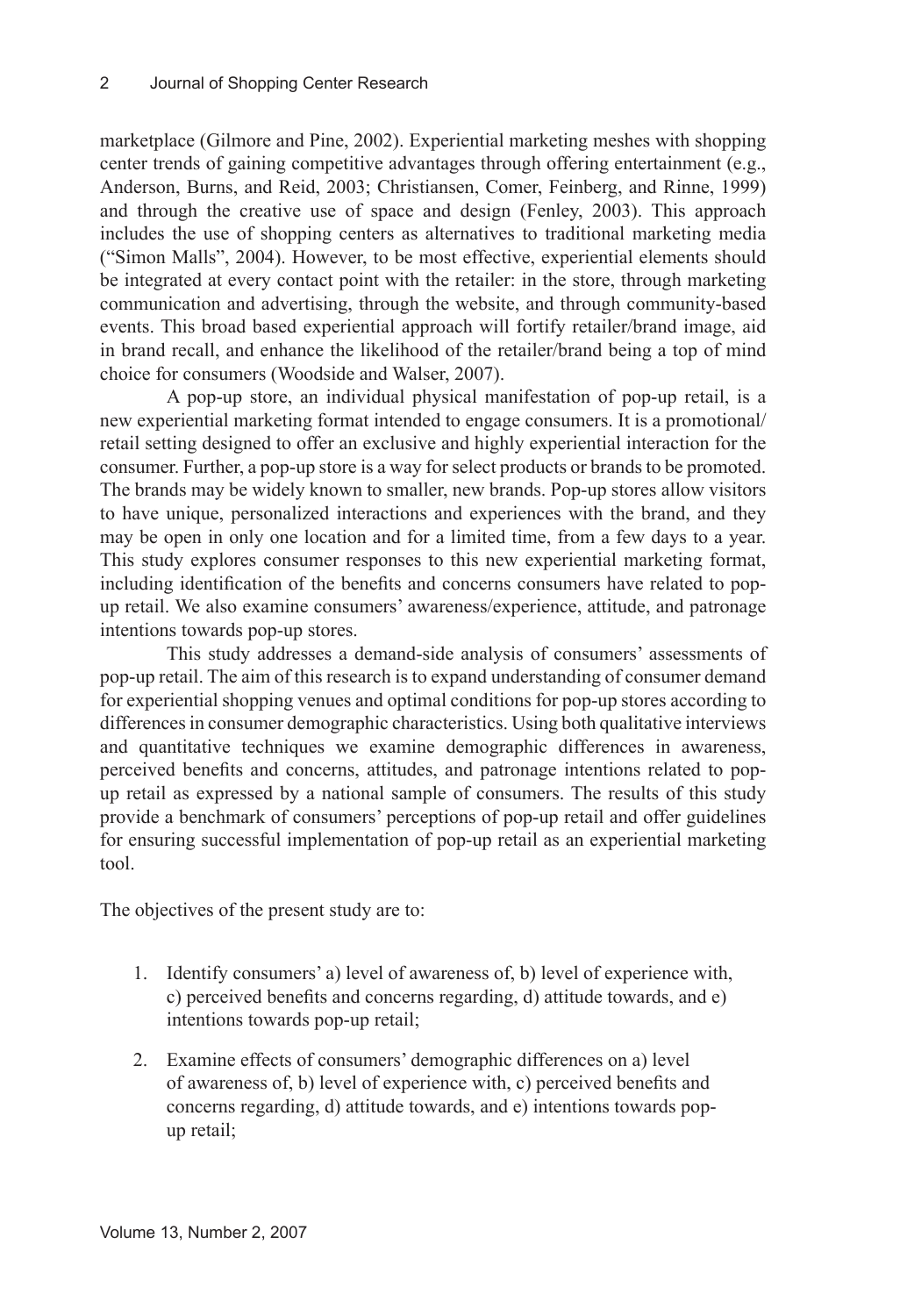marketplace (Gilmore and Pine, 2002). Experiential marketing meshes with shopping center trends of gaining competitive advantages through offering entertainment (e.g., Anderson, Burns, and Reid, 2003; Christiansen, Comer, Feinberg, and Rinne, 1999) and through the creative use of space and design (Fenley, 2003). This approach includes the use of shopping centers as alternatives to traditional marketing media ("Simon Malls", 2004). However, to be most effective, experiential elements should be integrated at every contact point with the retailer: in the store, through marketing communication and advertising, through the website, and through community-based events. This broad based experiential approach will fortify retailer/brand image, aid in brand recall, and enhance the likelihood of the retailer/brand being a top of mind choice for consumers (Woodside and Walser, 2007).

A pop-up store, an individual physical manifestation of pop-up retail, is a new experiential marketing format intended to engage consumers. It is a promotional/ retail setting designed to offer an exclusive and highly experiential interaction for the consumer. Further, a pop-up store is a way for select products or brands to be promoted. The brands may be widely known to smaller, new brands. Pop-up stores allow visitors to have unique, personalized interactions and experiences with the brand, and they may be open in only one location and for a limited time, from a few days to a year. This study explores consumer responses to this new experiential marketing format, including identification of the benefits and concerns consumers have related to popup retail. We also examine consumers' awareness/experience, attitude, and patronage intentions towards pop-up stores.

This study addresses a demand-side analysis of consumers' assessments of pop-up retail. The aim of this research is to expand understanding of consumer demand for experiential shopping venues and optimal conditions for pop-up stores according to differences in consumer demographic characteristics. Using both qualitative interviews and quantitative techniques we examine demographic differences in awareness, perceived benefits and concerns, attitudes, and patronage intentions related to popup retail as expressed by a national sample of consumers. The results of this study provide a benchmark of consumers' perceptions of pop-up retail and offer guidelines for ensuring successful implementation of pop-up retail as an experiential marketing tool.

The objectives of the present study are to:

- 1. Identify consumers' a) level of awareness of, b) level of experience with, c) perceived benefits and concerns regarding, d) attitude towards, and e) intentions towards pop-up retail;
- Examine effects of consumers' demographic differences on a) level 2.of awareness of, b) level of experience with, c) perceived benefits and concerns regarding, d) attitude towards, and e) intentions towards popup retail;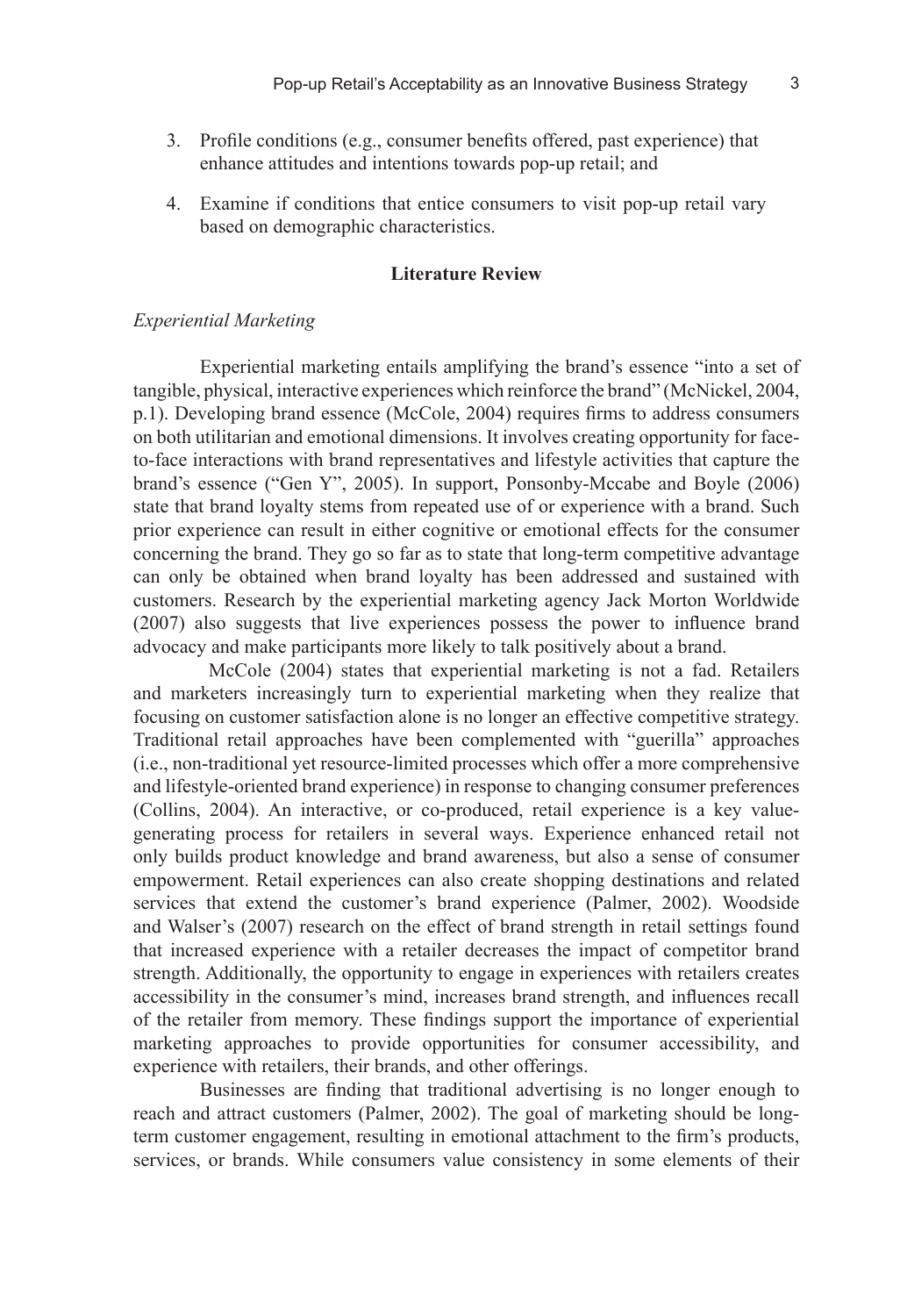3

- Profile conditions (e.g., consumer benefits offered, past experience) that 3. enhance attitudes and intentions towards pop-up retail; and
- Examine if conditions that entice consumers to visit pop-up retail vary 4.based on demographic characteristics.

#### **Literature Review**

#### *Experiential Marketing*

Experiential marketing entails amplifying the brand's essence "into a set of tangible, physical, interactive experiences which reinforce the brand" (McNickel, 2004, p.1). Developing brand essence (McCole, 2004) requires firms to address consumers on both utilitarian and emotional dimensions. It involves creating opportunity for faceto-face interactions with brand representatives and lifestyle activities that capture the brand's essence ("Gen Y", 2005). In support, Ponsonby-Mccabe and Boyle (2006) state that brand loyalty stems from repeated use of or experience with a brand. Such prior experience can result in either cognitive or emotional effects for the consumer concerning the brand. They go so far as to state that long-term competitive advantage can only be obtained when brand loyalty has been addressed and sustained with customers. Research by the experiential marketing agency Jack Morton Worldwide (2007) also suggests that live experiences possess the power to influence brand advocacy and make participants more likely to talk positively about a brand.

 McCole (2004) states that experiential marketing is not a fad. Retailers and marketers increasingly turn to experiential marketing when they realize that focusing on customer satisfaction alone is no longer an effective competitive strategy. Traditional retail approaches have been complemented with "guerilla" approaches (i.e., non-traditional yet resource-limited processes which offer a more comprehensive and lifestyle-oriented brand experience) in response to changing consumer preferences (Collins, 2004). An interactive, or co-produced, retail experience is a key valuegenerating process for retailers in several ways. Experience enhanced retail not only builds product knowledge and brand awareness, but also a sense of consumer empowerment. Retail experiences can also create shopping destinations and related services that extend the customer's brand experience (Palmer, 2002). Woodside and Walser's (2007) research on the effect of brand strength in retail settings found that increased experience with a retailer decreases the impact of competitor brand strength. Additionally, the opportunity to engage in experiences with retailers creates accessibility in the consumer's mind, increases brand strength, and influences recall of the retailer from memory. These findings support the importance of experiential marketing approaches to provide opportunities for consumer accessibility, and experience with retailers, their brands, and other offerings.

Businesses are finding that traditional advertising is no longer enough to reach and attract customers (Palmer, 2002). The goal of marketing should be longterm customer engagement, resulting in emotional attachment to the firm's products, services, or brands. While consumers value consistency in some elements of their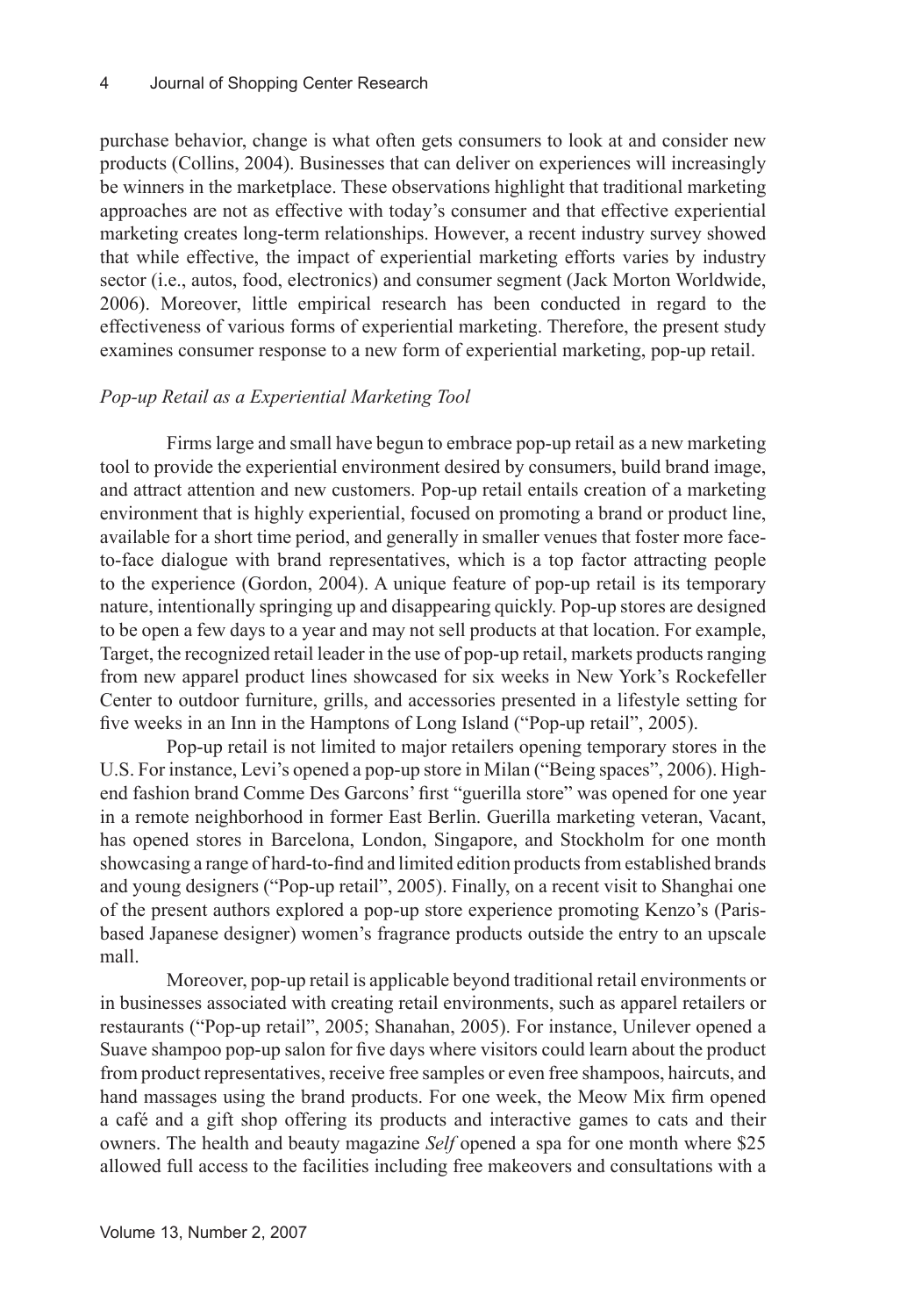purchase behavior, change is what often gets consumers to look at and consider new products (Collins, 2004). Businesses that can deliver on experiences will increasingly be winners in the marketplace. These observations highlight that traditional marketing approaches are not as effective with today's consumer and that effective experiential marketing creates long-term relationships. However, a recent industry survey showed that while effective, the impact of experiential marketing efforts varies by industry sector (i.e., autos, food, electronics) and consumer segment (Jack Morton Worldwide, 2006). Moreover, little empirical research has been conducted in regard to the effectiveness of various forms of experiential marketing. Therefore, the present study examines consumer response to a new form of experiential marketing, pop-up retail.

## *Pop-up Retail as a Experiential Marketing Tool*

Firms large and small have begun to embrace pop-up retail as a new marketing tool to provide the experiential environment desired by consumers, build brand image, and attract attention and new customers. Pop-up retail entails creation of a marketing environment that is highly experiential, focused on promoting a brand or product line, available for a short time period, and generally in smaller venues that foster more faceto-face dialogue with brand representatives, which is a top factor attracting people to the experience (Gordon, 2004). A unique feature of pop-up retail is its temporary nature, intentionally springing up and disappearing quickly. Pop-up stores are designed to be open a few days to a year and may not sell products at that location. For example, Target, the recognized retail leader in the use of pop-up retail, markets products ranging from new apparel product lines showcased for six weeks in New York's Rockefeller Center to outdoor furniture, grills, and accessories presented in a lifestyle setting for five weeks in an Inn in the Hamptons of Long Island ("Pop-up retail", 2005).

Pop-up retail is not limited to major retailers opening temporary stores in the U.S. For instance, Levi's opened a pop-up store in Milan ("Being spaces", 2006). Highend fashion brand Comme Des Garcons' first "guerilla store" was opened for one year in a remote neighborhood in former East Berlin. Guerilla marketing veteran, Vacant, has opened stores in Barcelona, London, Singapore, and Stockholm for one month showcasing a range of hard-to-find and limited edition products from established brands and young designers ("Pop-up retail", 2005). Finally, on a recent visit to Shanghai one of the present authors explored a pop-up store experience promoting Kenzo's (Parisbased Japanese designer) women's fragrance products outside the entry to an upscale mall.

Moreover, pop-up retail is applicable beyond traditional retail environments or in businesses associated with creating retail environments, such as apparel retailers or restaurants ("Pop-up retail", 2005; Shanahan, 2005). For instance, Unilever opened a Suave shampoo pop-up salon for five days where visitors could learn about the product from product representatives, receive free samples or even free shampoos, haircuts, and hand massages using the brand products. For one week, the Meow Mix firm opened a café and a gift shop offering its products and interactive games to cats and their owners. The health and beauty magazine *Self* opened a spa for one month where \$25 allowed full access to the facilities including free makeovers and consultations with a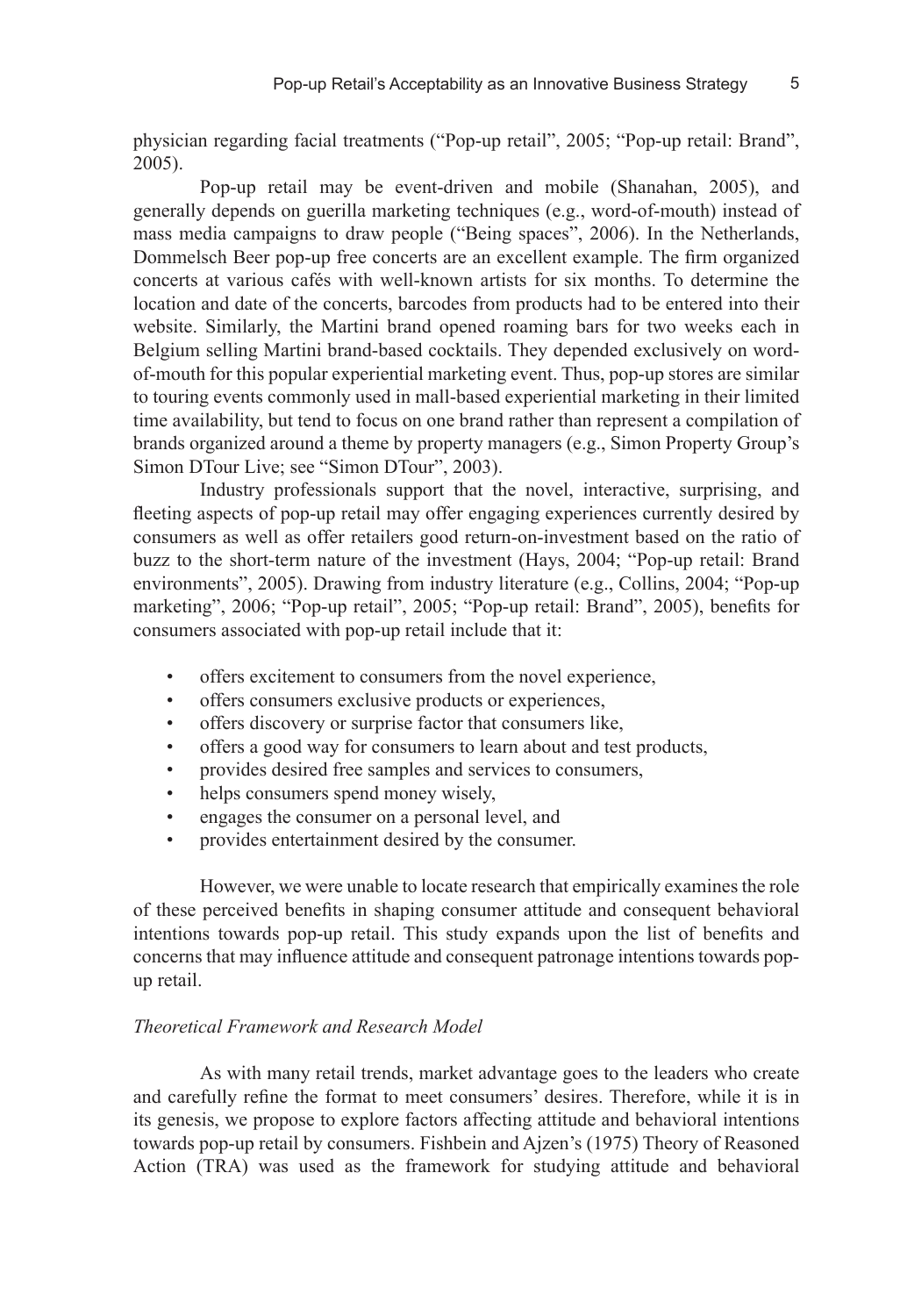physician regarding facial treatments ("Pop-up retail", 2005; "Pop-up retail: Brand", 2005).

Pop-up retail may be event-driven and mobile (Shanahan, 2005), and generally depends on guerilla marketing techniques (e.g., word-of-mouth) instead of mass media campaigns to draw people ("Being spaces", 2006). In the Netherlands, Dommelsch Beer pop-up free concerts are an excellent example. The firm organized concerts at various cafés with well-known artists for six months. To determine the location and date of the concerts, barcodes from products had to be entered into their website. Similarly, the Martini brand opened roaming bars for two weeks each in Belgium selling Martini brand-based cocktails. They depended exclusively on wordof-mouth for this popular experiential marketing event. Thus, pop-up stores are similar to touring events commonly used in mall-based experiential marketing in their limited time availability, but tend to focus on one brand rather than represent a compilation of brands organized around a theme by property managers (e.g., Simon Property Group's Simon DTour Live; see "Simon DTour", 2003).

Industry professionals support that the novel, interactive, surprising, and fleeting aspects of pop-up retail may offer engaging experiences currently desired by consumers as well as offer retailers good return-on-investment based on the ratio of buzz to the short-term nature of the investment (Hays, 2004; "Pop-up retail: Brand environments", 2005). Drawing from industry literature (e.g., Collins, 2004; "Pop-up marketing", 2006; "Pop-up retail", 2005; "Pop-up retail: Brand", 2005), benefits for consumers associated with pop-up retail include that it:

- offers excitement to consumers from the novel experience, •
- offers consumers exclusive products or experiences, •
- offers discovery or surprise factor that consumers like, •
- offers a good way for consumers to learn about and test products, •
- provides desired free samples and services to consumers, •
- helps consumers spend money wisely, •
- engages the consumer on a personal level, and •
- provides entertainment desired by the consumer. •

However, we were unable to locate research that empirically examines the role of these perceived benefits in shaping consumer attitude and consequent behavioral intentions towards pop-up retail. This study expands upon the list of benefits and concerns that may influence attitude and consequent patronage intentions towards popup retail.

#### *Theoretical Framework and Research Model*

As with many retail trends, market advantage goes to the leaders who create and carefully refine the format to meet consumers' desires. Therefore, while it is in its genesis, we propose to explore factors affecting attitude and behavioral intentions towards pop-up retail by consumers. Fishbein and Ajzen's (1975) Theory of Reasoned Action (TRA) was used as the framework for studying attitude and behavioral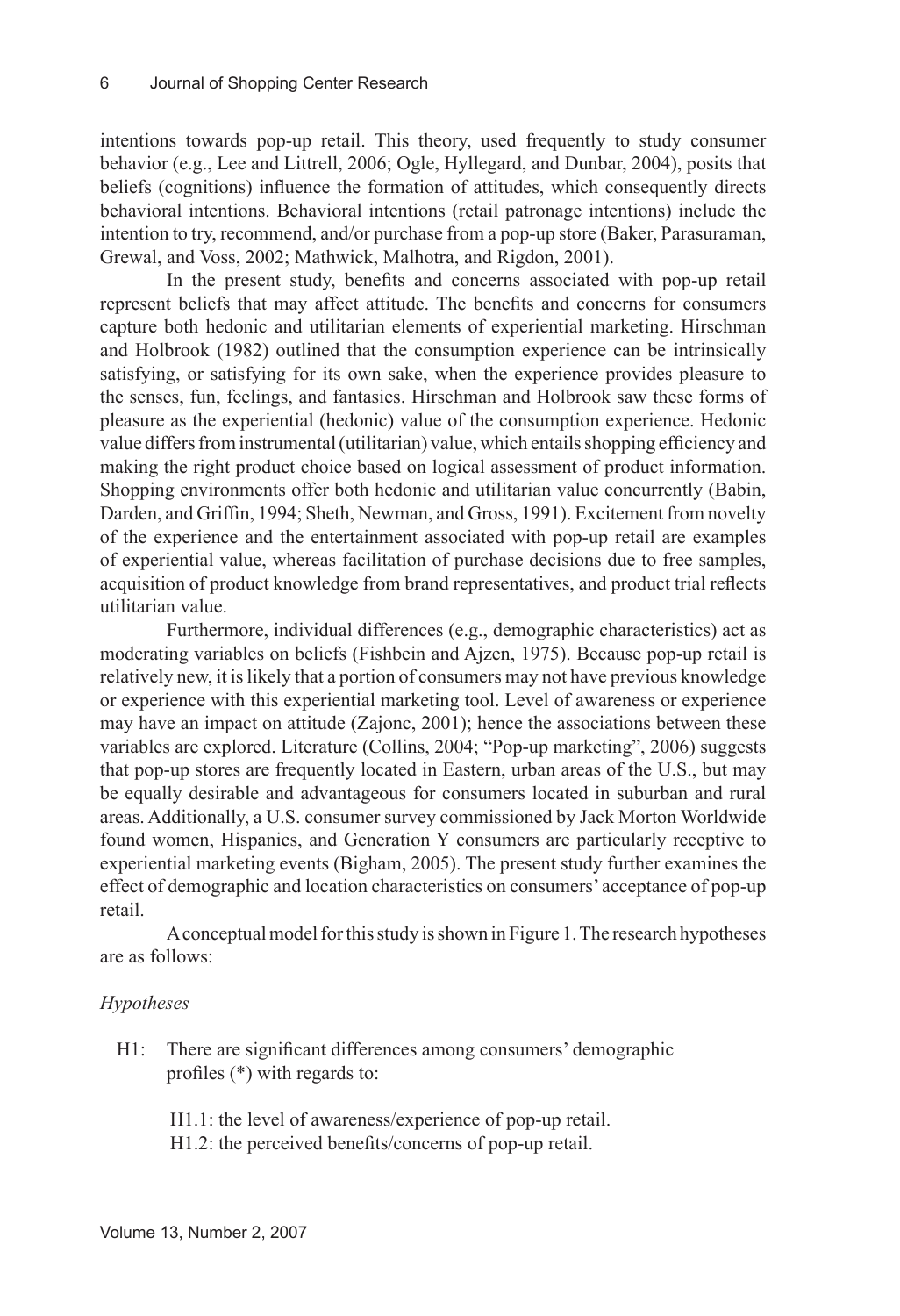intentions towards pop-up retail. This theory, used frequently to study consumer behavior (e.g., Lee and Littrell, 2006; Ogle, Hyllegard, and Dunbar, 2004), posits that beliefs (cognitions) influence the formation of attitudes, which consequently directs behavioral intentions. Behavioral intentions (retail patronage intentions) include the intention to try, recommend, and/or purchase from a pop-up store (Baker, Parasuraman, Grewal, and Voss, 2002; Mathwick, Malhotra, and Rigdon, 2001).

In the present study, benefits and concerns associated with pop-up retail represent beliefs that may affect attitude. The benefits and concerns for consumers capture both hedonic and utilitarian elements of experiential marketing. Hirschman and Holbrook (1982) outlined that the consumption experience can be intrinsically satisfying, or satisfying for its own sake, when the experience provides pleasure to the senses, fun, feelings, and fantasies. Hirschman and Holbrook saw these forms of pleasure as the experiential (hedonic) value of the consumption experience. Hedonic value differs from instrumental (utilitarian) value, which entails shopping efficiency and making the right product choice based on logical assessment of product information. Shopping environments offer both hedonic and utilitarian value concurrently (Babin, Darden, and Griffin, 1994; Sheth, Newman, and Gross, 1991). Excitement from novelty of the experience and the entertainment associated with pop-up retail are examples of experiential value, whereas facilitation of purchase decisions due to free samples, acquisition of product knowledge from brand representatives, and product trial reflects utilitarian value.

Furthermore, individual differences (e.g., demographic characteristics) act as moderating variables on beliefs (Fishbein and Ajzen, 1975). Because pop-up retail is relatively new, it is likely that a portion of consumers may not have previous knowledge or experience with this experiential marketing tool. Level of awareness or experience may have an impact on attitude (Zajonc, 2001); hence the associations between these variables are explored. Literature (Collins, 2004; "Pop-up marketing", 2006) suggests that pop-up stores are frequently located in Eastern, urban areas of the U.S., but may be equally desirable and advantageous for consumers located in suburban and rural areas. Additionally, a U.S. consumer survey commissioned by Jack Morton Worldwide found women, Hispanics, and Generation Y consumers are particularly receptive to experiential marketing events (Bigham, 2005). The present study further examines the effect of demographic and location characteristics on consumers' acceptance of pop-up retail.

A conceptual model for this study is shown in Figure 1. The research hypotheses are as follows:

# *Hypotheses*

- H1: There are significant differences among consumers' demographic profiles (\*) with regards to:
	- H1.1: the level of awareness/experience of pop-up retail.
	- H1.2: the perceived benefits/concerns of pop-up retail.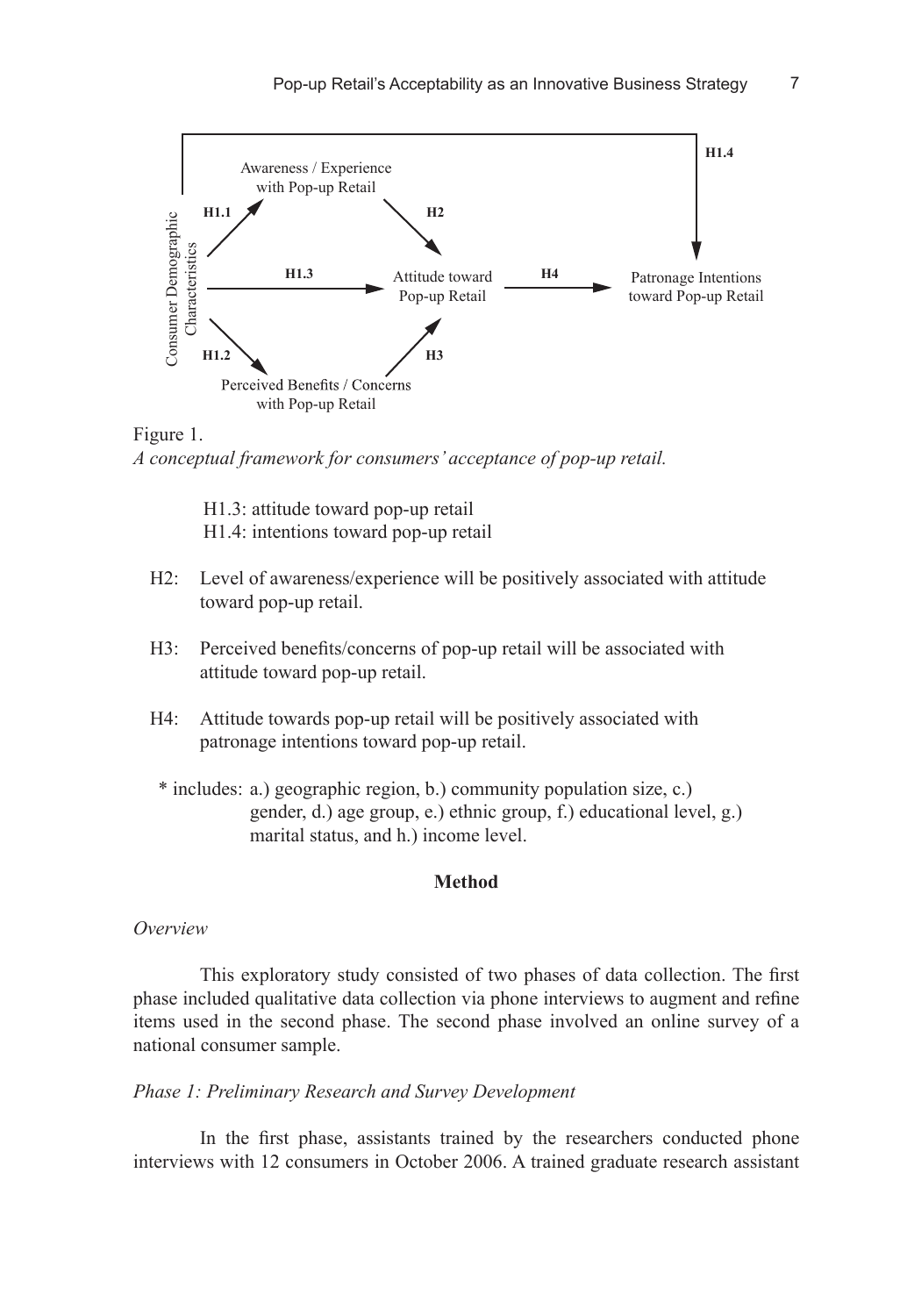$\overline{7}$ 



# Figure 1.

 H1.3: attitude toward pop-up retail H1.4: intentions toward pop-up retail

- H2: Level of awareness/experience will be positively associated with attitude toward pop-up retail.
- H3: Perceived benefits/concerns of pop-up retail will be associated with attitude toward pop-up retail.
- H4: Attitude towards pop-up retail will be positively associated with patronage intentions toward pop-up retail.
- \* includes: a.) geographic region, b.) community population size, c.) gender, d.) age group, e.) ethnic group, f.) educational level, g.) marital status, and h.) income level.

#### **Method**

#### *Overview*

This exploratory study consisted of two phases of data collection. The first phase included qualitative data collection via phone interviews to augment and refine items used in the second phase. The second phase involved an online survey of a national consumer sample.

#### *Phase 1: Preliminary Research and Survey Development*

In the first phase, assistants trained by the researchers conducted phone interviews with 12 consumers in October 2006. A trained graduate research assistant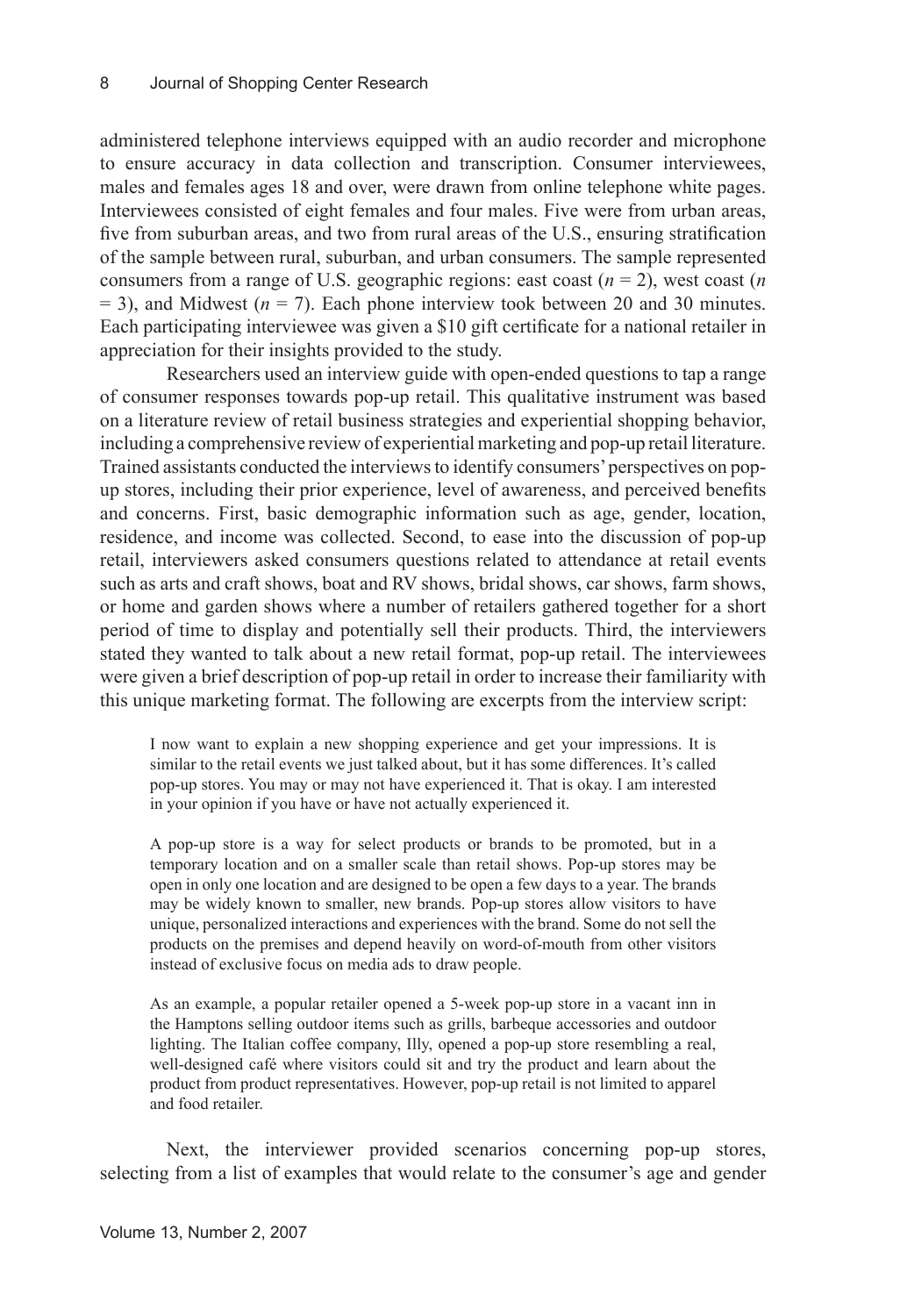administered telephone interviews equipped with an audio recorder and microphone to ensure accuracy in data collection and transcription. Consumer interviewees, males and females ages 18 and over, were drawn from online telephone white pages. Interviewees consisted of eight females and four males. Five were from urban areas, five from suburban areas, and two from rural areas of the U.S., ensuring stratification of the sample between rural, suburban, and urban consumers. The sample represented consumers from a range of U.S. geographic regions: east coast  $(n = 2)$ , west coast  $(n)$  $= 3$ ), and Midwest ( $n = 7$ ). Each phone interview took between 20 and 30 minutes. Each participating interviewee was given a \$10 gift certificate for a national retailer in appreciation for their insights provided to the study.

Researchers used an interview guide with open-ended questions to tap a range of consumer responses towards pop-up retail. This qualitative instrument was based on a literature review of retail business strategies and experiential shopping behavior, including a comprehensive review of experiential marketing and pop-up retail literature. Trained assistants conducted the interviews to identify consumers' perspectives on popup stores, including their prior experience, level of awareness, and perceived benefits and concerns. First, basic demographic information such as age, gender, location, residence, and income was collected. Second, to ease into the discussion of pop-up retail, interviewers asked consumers questions related to attendance at retail events such as arts and craft shows, boat and RV shows, bridal shows, car shows, farm shows, or home and garden shows where a number of retailers gathered together for a short period of time to display and potentially sell their products. Third, the interviewers stated they wanted to talk about a new retail format, pop-up retail. The interviewees were given a brief description of pop-up retail in order to increase their familiarity with this unique marketing format. The following are excerpts from the interview script:

I now want to explain a new shopping experience and get your impressions. It is similar to the retail events we just talked about, but it has some differences. It's called pop-up stores. You may or may not have experienced it. That is okay. I am interested in your opinion if you have or have not actually experienced it.

A pop-up store is a way for select products or brands to be promoted, but in a temporary location and on a smaller scale than retail shows. Pop-up stores may be open in only one location and are designed to be open a few days to a year. The brands may be widely known to smaller, new brands. Pop-up stores allow visitors to have unique, personalized interactions and experiences with the brand. Some do not sell the products on the premises and depend heavily on word-of-mouth from other visitors instead of exclusive focus on media ads to draw people.

As an example, a popular retailer opened a 5-week pop-up store in a vacant inn in the Hamptons selling outdoor items such as grills, barbeque accessories and outdoor lighting. The Italian coffee company, Illy, opened a pop-up store resembling a real, well-designed café where visitors could sit and try the product and learn about the product from product representatives. However, pop-up retail is not limited to apparel and food retailer.

Next, the interviewer provided scenarios concerning pop-up stores, selecting from a list of examples that would relate to the consumer's age and gender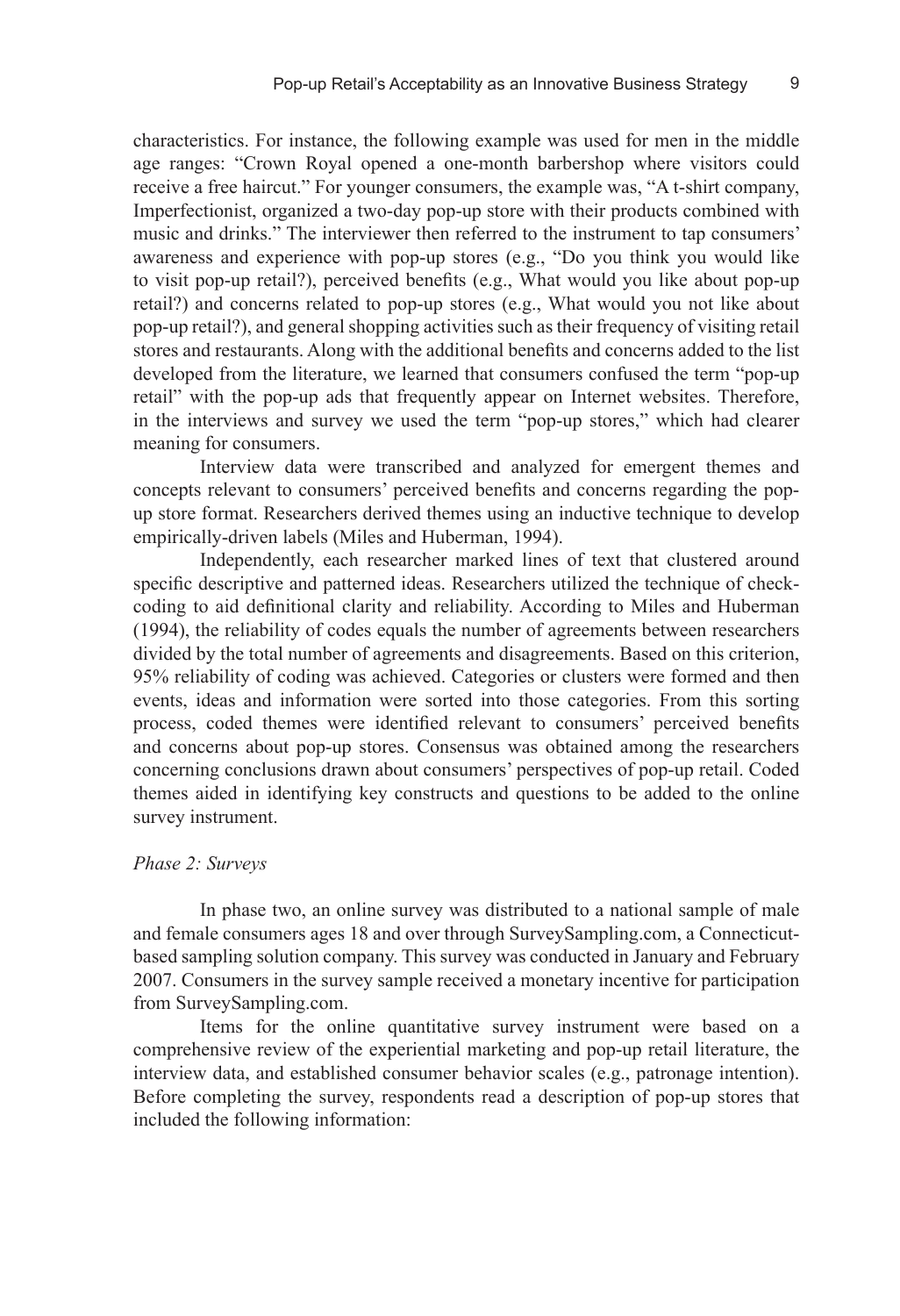characteristics. For instance, the following example was used for men in the middle age ranges: "Crown Royal opened a one-month barbershop where visitors could receive a free haircut." For younger consumers, the example was, "A t-shirt company, Imperfectionist, organized a two-day pop-up store with their products combined with music and drinks." The interviewer then referred to the instrument to tap consumers' awareness and experience with pop-up stores (e.g., "Do you think you would like to visit pop-up retail?), perceived benefits (e.g., What would you like about pop-up retail?) and concerns related to pop-up stores (e.g., What would you not like about pop-up retail?), and general shopping activities such as their frequency of visiting retail stores and restaurants. Along with the additional benefits and concerns added to the list developed from the literature, we learned that consumers confused the term "pop-up retail" with the pop-up ads that frequently appear on Internet websites. Therefore, in the interviews and survey we used the term "pop-up stores," which had clearer meaning for consumers.

Interview data were transcribed and analyzed for emergent themes and concepts relevant to consumers' perceived benefits and concerns regarding the popup store format. Researchers derived themes using an inductive technique to develop empirically-driven labels (Miles and Huberman, 1994).

Independently, each researcher marked lines of text that clustered around specific descriptive and patterned ideas. Researchers utilized the technique of checkcoding to aid definitional clarity and reliability. According to Miles and Huberman (1994), the reliability of codes equals the number of agreements between researchers divided by the total number of agreements and disagreements. Based on this criterion, 95% reliability of coding was achieved. Categories or clusters were formed and then events, ideas and information were sorted into those categories. From this sorting process, coded themes were identified relevant to consumers' perceived benefits and concerns about pop-up stores. Consensus was obtained among the researchers concerning conclusions drawn about consumers' perspectives of pop-up retail. Coded themes aided in identifying key constructs and questions to be added to the online survey instrument.

#### *Phase 2: Surveys*

In phase two, an online survey was distributed to a national sample of male and female consumers ages 18 and over through SurveySampling.com, a Connecticutbased sampling solution company. This survey was conducted in January and February 2007. Consumers in the survey sample received a monetary incentive for participation from SurveySampling.com.

Items for the online quantitative survey instrument were based on a comprehensive review of the experiential marketing and pop-up retail literature, the interview data, and established consumer behavior scales (e.g., patronage intention). Before completing the survey, respondents read a description of pop-up stores that included the following information: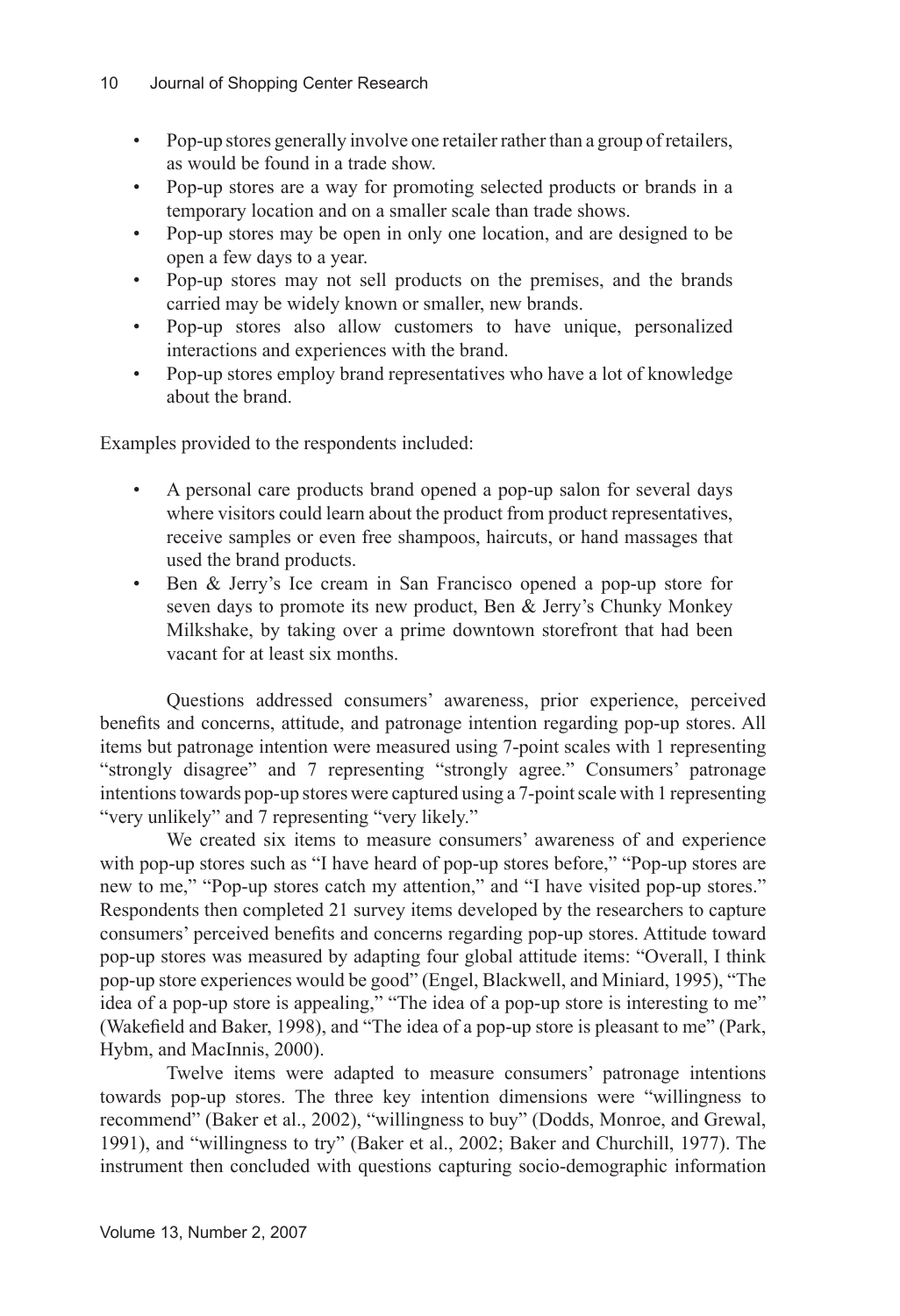- Pop-up stores generally involve one retailer rather than a group of retailers, as would be found in a trade show. •
- Pop-up stores are a way for promoting selected products or brands in a temporary location and on a smaller scale than trade shows. •
- Pop-up stores may be open in only one location, and are designed to be open a few days to a year. •
- Pop-up stores may not sell products on the premises, and the brands carried may be widely known or smaller, new brands. •
- Pop-up stores also allow customers to have unique, personalized interactions and experiences with the brand. •
- Pop-up stores employ brand representatives who have a lot of knowledge about the brand. •

Examples provided to the respondents included:

- A personal care products brand opened a pop-up salon for several days where visitors could learn about the product from product representatives, receive samples or even free shampoos, haircuts, or hand massages that used the brand products. •
- Ben & Jerry's Ice cream in San Francisco opened a pop-up store for seven days to promote its new product, Ben & Jerry's Chunky Monkey Milkshake, by taking over a prime downtown storefront that had been vacant for at least six months. •

Questions addressed consumers' awareness, prior experience, perceived benefits and concerns, attitude, and patronage intention regarding pop-up stores. All items but patronage intention were measured using 7-point scales with 1 representing "strongly disagree" and 7 representing "strongly agree." Consumers' patronage intentions towards pop-up stores were captured using a 7-point scale with 1 representing "very unlikely" and 7 representing "very likely."

We created six items to measure consumers' awareness of and experience with pop-up stores such as "I have heard of pop-up stores before," "Pop-up stores are new to me," "Pop-up stores catch my attention," and "I have visited pop-up stores." Respondents then completed 21 survey items developed by the researchers to capture consumers' perceived benefits and concerns regarding pop-up stores. Attitude toward pop-up stores was measured by adapting four global attitude items: "Overall, I think pop-up store experiences would be good" (Engel, Blackwell, and Miniard, 1995), "The idea of a pop-up store is appealing," "The idea of a pop-up store is interesting to me" (Wakefield and Baker, 1998), and "The idea of a pop-up store is pleasant to me" (Park, Hybm, and MacInnis, 2000).

Twelve items were adapted to measure consumers' patronage intentions towards pop-up stores. The three key intention dimensions were "willingness to recommend" (Baker et al., 2002), "willingness to buy" (Dodds, Monroe, and Grewal, 1991), and "willingness to try" (Baker et al., 2002; Baker and Churchill, 1977). The instrument then concluded with questions capturing socio-demographic information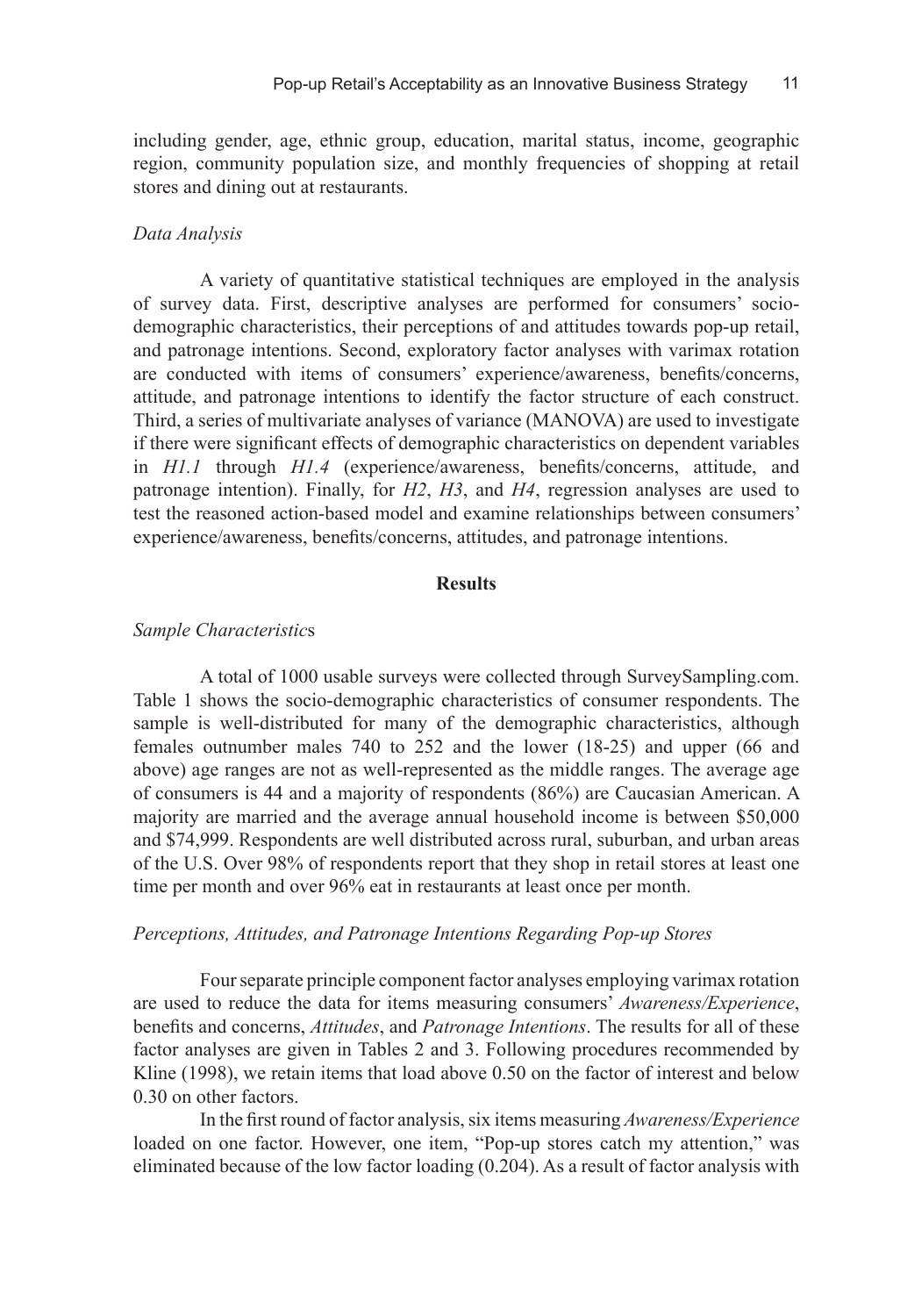including gender, age, ethnic group, education, marital status, income, geographic region, community population size, and monthly frequencies of shopping at retail stores and dining out at restaurants.

#### *Data Analysis*

A variety of quantitative statistical techniques are employed in the analysis of survey data. First, descriptive analyses are performed for consumers' sociodemographic characteristics, their perceptions of and attitudes towards pop-up retail, and patronage intentions. Second, exploratory factor analyses with varimax rotation are conducted with items of consumers' experience/awareness, benefits/concerns, attitude, and patronage intentions to identify the factor structure of each construct. Third, a series of multivariate analyses of variance (MANOVA) are used to investigate if there were significant effects of demographic characteristics on dependent variables in *H1.1* through *H1.4* (experience/awareness, benefits/concerns, attitude, and patronage intention). Finally, for *H2*, *H3*, and *H4*, regression analyses are used to test the reasoned action-based model and examine relationships between consumers' experience/awareness, benefits/concerns, attitudes, and patronage intentions.

#### **Results**

#### *Sample Characteristic*s

A total of 1000 usable surveys were collected through SurveySampling.com. Table 1 shows the socio-demographic characteristics of consumer respondents. The sample is well-distributed for many of the demographic characteristics, although females outnumber males 740 to 252 and the lower (18-25) and upper (66 and above) age ranges are not as well-represented as the middle ranges. The average age of consumers is 44 and a majority of respondents (86%) are Caucasian American. A majority are married and the average annual household income is between \$50,000 and \$74,999. Respondents are well distributed across rural, suburban, and urban areas of the U.S. Over 98% of respondents report that they shop in retail stores at least one time per month and over 96% eat in restaurants at least once per month.

#### *Perceptions, Attitudes, and Patronage Intentions Regarding Pop-up Stores*

Four separate principle component factor analyses employing varimax rotation are used to reduce the data for items measuring consumers' *Awareness/Experience*, benefits and concerns, *Attitudes*, and *Patronage Intentions*. The results for all of these factor analyses are given in Tables 2 and 3. Following procedures recommended by Kline (1998), we retain items that load above 0.50 on the factor of interest and below 0.30 on other factors.

In the first round of factor analysis, six items measuring *Awareness/Experience* loaded on one factor. However, one item, "Pop-up stores catch my attention," was eliminated because of the low factor loading (0.204). As a result of factor analysis with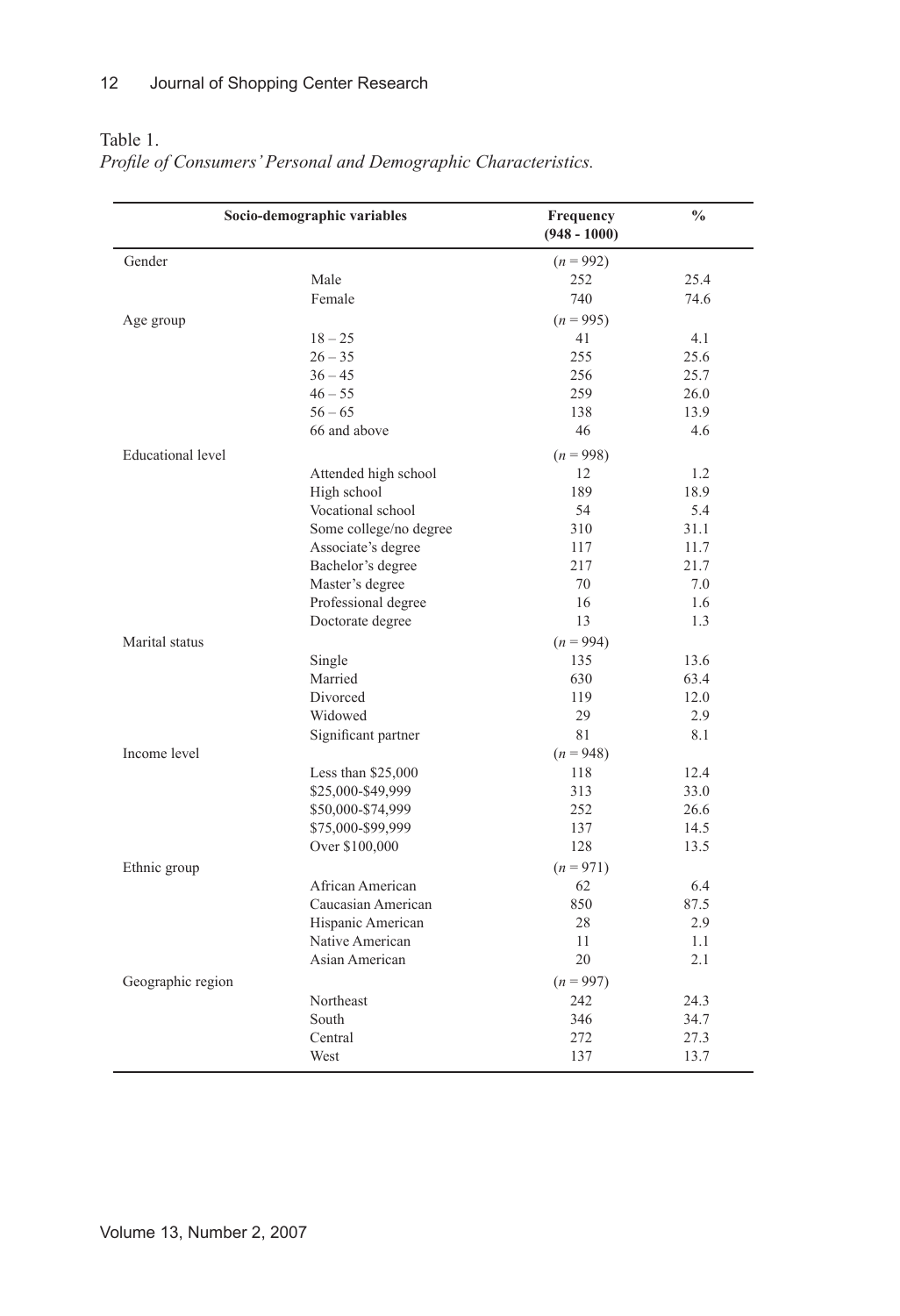Table 1.

|                   | Socio-demographic variables | Frequency<br>$(948 - 1000)$ | $\frac{0}{0}$ |
|-------------------|-----------------------------|-----------------------------|---------------|
| Gender            |                             | $(n = 992)$                 |               |
|                   | Male                        | 252                         | 25.4          |
|                   | Female                      | 740                         | 74.6          |
| Age group         |                             | $(n = 995)$                 |               |
|                   | $18 - 25$                   | 41                          | 4.1           |
|                   | $26 - 35$                   | 255                         | 25.6          |
|                   | $36 - 45$                   | 256                         | 25.7          |
|                   | $46 - 55$                   | 259                         | 26.0          |
|                   | $56 - 65$                   | 138                         | 13.9          |
|                   | 66 and above                | 46                          | 4.6           |
| Educational level |                             | $(n = 998)$                 |               |
|                   | Attended high school        | 12                          | 1.2           |
|                   | High school                 | 189                         | 18.9          |
|                   | Vocational school           | 54                          | 5.4           |
|                   | Some college/no degree      | 310                         | 31.1          |
|                   | Associate's degree          | 117                         | 11.7          |
|                   | Bachelor's degree           | 217                         | 21.7          |
|                   |                             | 70                          | 7.0           |
|                   | Master's degree             | 16                          |               |
|                   | Professional degree         |                             | 1.6           |
|                   | Doctorate degree            | 13                          | 1.3           |
| Marital status    |                             | $(n = 994)$                 |               |
|                   | Single                      | 135                         | 13.6          |
|                   | Married                     | 630                         | 63.4          |
|                   | Divorced                    | 119                         | 12.0          |
|                   | Widowed                     | 29                          | 2.9           |
|                   | Significant partner         | 81                          | 8.1           |
| Income level      |                             | $(n = 948)$                 |               |
|                   | Less than $$25,000$         | 118                         | 12.4          |
|                   | \$25,000-\$49,999           | 313                         | 33.0          |
|                   | \$50,000-\$74,999           | 252                         | 26.6          |
|                   | \$75,000-\$99,999           | 137                         | 14.5          |
|                   | Over \$100,000              | 128                         | 13.5          |
| Ethnic group      |                             | $(n = 971)$                 |               |
|                   | African American            | 62                          | 6.4           |
|                   | Caucasian American          | 850                         | 87.5          |
|                   | Hispanic American           | 28                          | 2.9           |
|                   | Native American             | 11                          | 1.1           |
|                   | Asian American              | 20                          | 2.1           |
| Geographic region |                             | $(n = 997)$                 |               |
|                   | Northeast                   | 242                         | 24.3          |
|                   | South                       | 346                         | 34.7          |
|                   | Central                     | 272                         | 27.3          |
|                   | West                        | 137                         | 13.7          |

*Profile of Consumers' Personal and Demographic Characteristics.*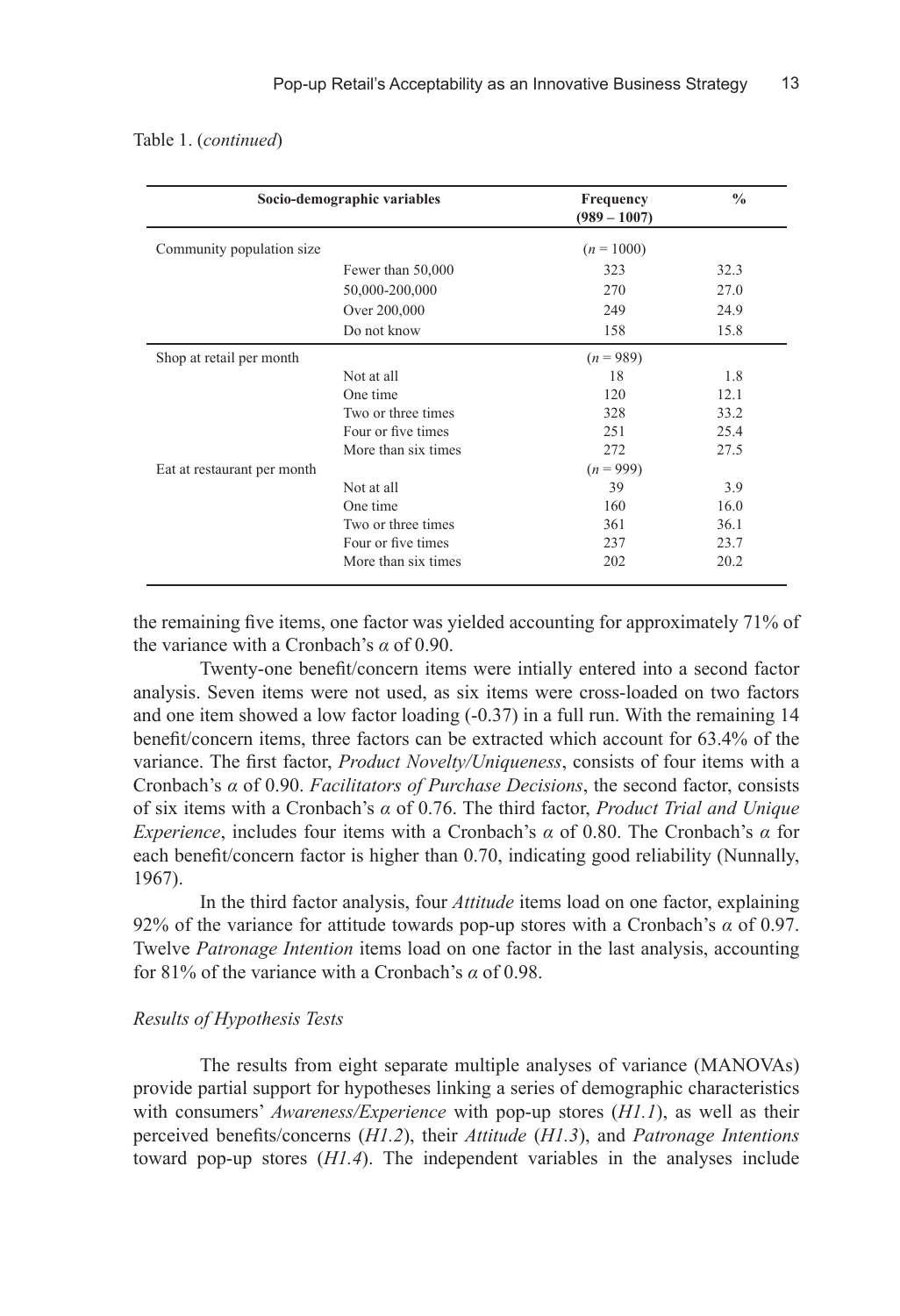#### Table 1. (*continued*)

|                             | Socio-demographic variables | Frequency<br>$(989 - 1007)$ | $\frac{0}{0}$ |
|-----------------------------|-----------------------------|-----------------------------|---------------|
| Community population size   |                             | $(n = 1000)$                |               |
|                             | Fewer than 50,000           | 323                         | 32.3          |
|                             | 50,000-200,000              | 270                         | 27.0          |
|                             | Over 200,000                | 249                         | 24.9          |
|                             | Do not know                 | 158                         | 15.8          |
| Shop at retail per month    |                             | $(n = 989)$                 |               |
|                             | Not at all                  | 18                          | 1.8           |
|                             | One time                    | 120                         | 12.1          |
|                             | Two or three times          | 328                         | 33.2          |
|                             | Four or five times          | 251                         | 25.4          |
|                             | More than six times         | 272                         | 27.5          |
| Eat at restaurant per month |                             | $(n = 999)$                 |               |
|                             | Not at all                  | 39                          | 3.9           |
|                             | One time                    | 160                         | 16.0          |
|                             | Two or three times          | 361                         | 36.1          |
|                             | Four or five times          | 237                         | 23.7          |
|                             | More than six times         | 202                         | 20.2          |

the remaining five items, one factor was yielded accounting for approximately 71% of the variance with a Cronbach's *α* of 0.90.

Twenty-one benefit/concern items were intially entered into a second factor analysis. Seven items were not used, as six items were cross-loaded on two factors and one item showed a low factor loading (-0.37) in a full run. With the remaining 14 benefit/concern items, three factors can be extracted which account for 63.4% of the variance. The first factor, *Product Novelty/Uniqueness*, consists of four items with a Cronbach's *α* of 0.90. *Facilitators of Purchase Decisions*, the second factor, consists of six items with a Cronbach's *α* of 0.76. The third factor, *Product Trial and Unique Experience*, includes four items with a Cronbach's *α* of 0.80. The Cronbach's *α* for each benefit/concern factor is higher than 0.70, indicating good reliability (Nunnally, 1967).

In the third factor analysis, four *Attitude* items load on one factor, explaining 92% of the variance for attitude towards pop-up stores with a Cronbach's *α* of 0.97. Twelve *Patronage Intention* items load on one factor in the last analysis, accounting for 81% of the variance with a Cronbach's *α* of 0.98.

#### *Results of Hypothesis Tests*

The results from eight separate multiple analyses of variance (MANOVAs) provide partial support for hypotheses linking a series of demographic characteristics with consumers' *Awareness/Experience* with pop-up stores (*H1.1*), as well as their perceived benefits/concerns (*H1.2*), their *Attitude* (*H1.3*), and *Patronage Intentions*  toward pop-up stores (*H1.4*). The independent variables in the analyses include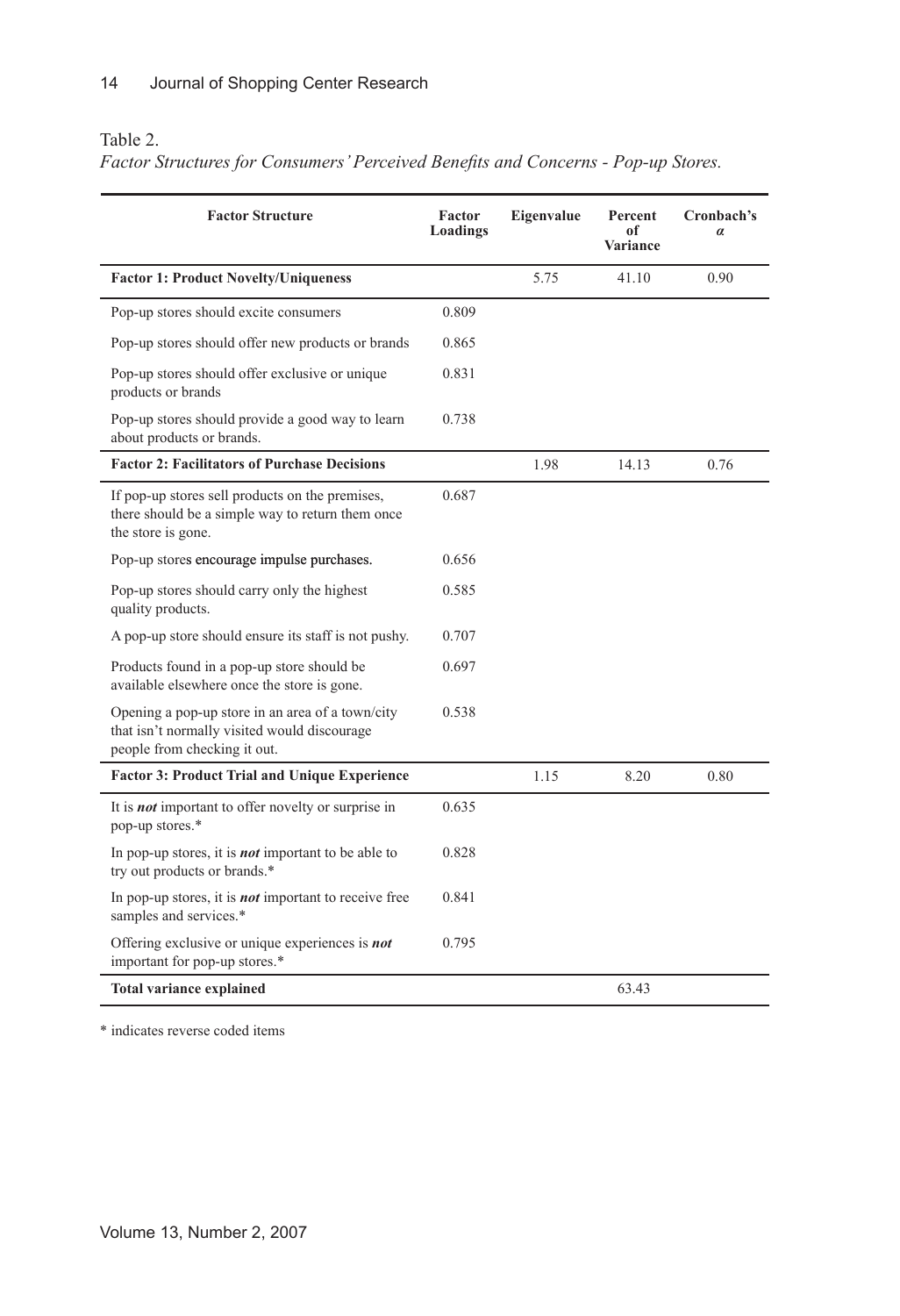## Table 2.

*Factor Structures for Consumers' Perceived Benefits and Concerns - Pop-up Stores.*

| <b>Factor Structure</b>                                                                                                          | Factor<br>Loadings | Eigenvalue | Percent<br>of<br>Variance | Cronbach's<br>$\alpha$ |
|----------------------------------------------------------------------------------------------------------------------------------|--------------------|------------|---------------------------|------------------------|
| <b>Factor 1: Product Novelty/Uniqueness</b>                                                                                      |                    | 5.75       | 41.10                     | 0.90                   |
| Pop-up stores should excite consumers                                                                                            | 0.809              |            |                           |                        |
| Pop-up stores should offer new products or brands                                                                                | 0.865              |            |                           |                        |
| Pop-up stores should offer exclusive or unique<br>products or brands                                                             | 0.831              |            |                           |                        |
| Pop-up stores should provide a good way to learn<br>about products or brands.                                                    | 0.738              |            |                           |                        |
| <b>Factor 2: Facilitators of Purchase Decisions</b>                                                                              |                    | 1.98       | 14.13                     | 0.76                   |
| If pop-up stores sell products on the premises,<br>there should be a simple way to return them once<br>the store is gone.        | 0.687              |            |                           |                        |
| Pop-up stores encourage impulse purchases.                                                                                       | 0.656              |            |                           |                        |
| Pop-up stores should carry only the highest<br>quality products.                                                                 | 0.585              |            |                           |                        |
| A pop-up store should ensure its staff is not pushy.                                                                             | 0.707              |            |                           |                        |
| Products found in a pop-up store should be<br>available elsewhere once the store is gone.                                        | 0.697              |            |                           |                        |
| Opening a pop-up store in an area of a town/city<br>that isn't normally visited would discourage<br>people from checking it out. | 0.538              |            |                           |                        |
| <b>Factor 3: Product Trial and Unique Experience</b>                                                                             |                    | 1.15       | 8.20                      | 0.80                   |
| It is <b>not</b> important to offer novelty or surprise in<br>pop-up stores.*                                                    | 0.635              |            |                           |                        |
| In pop-up stores, it is <b><i>not</i></b> important to be able to<br>try out products or brands.*                                | 0.828              |            |                           |                        |
| In pop-up stores, it is <b>not</b> important to receive free<br>samples and services.*                                           | 0.841              |            |                           |                        |
| Offering exclusive or unique experiences is not<br>important for pop-up stores.*                                                 | 0.795              |            |                           |                        |
| <b>Total variance explained</b>                                                                                                  |                    |            | 63.43                     |                        |

\* indicates reverse coded items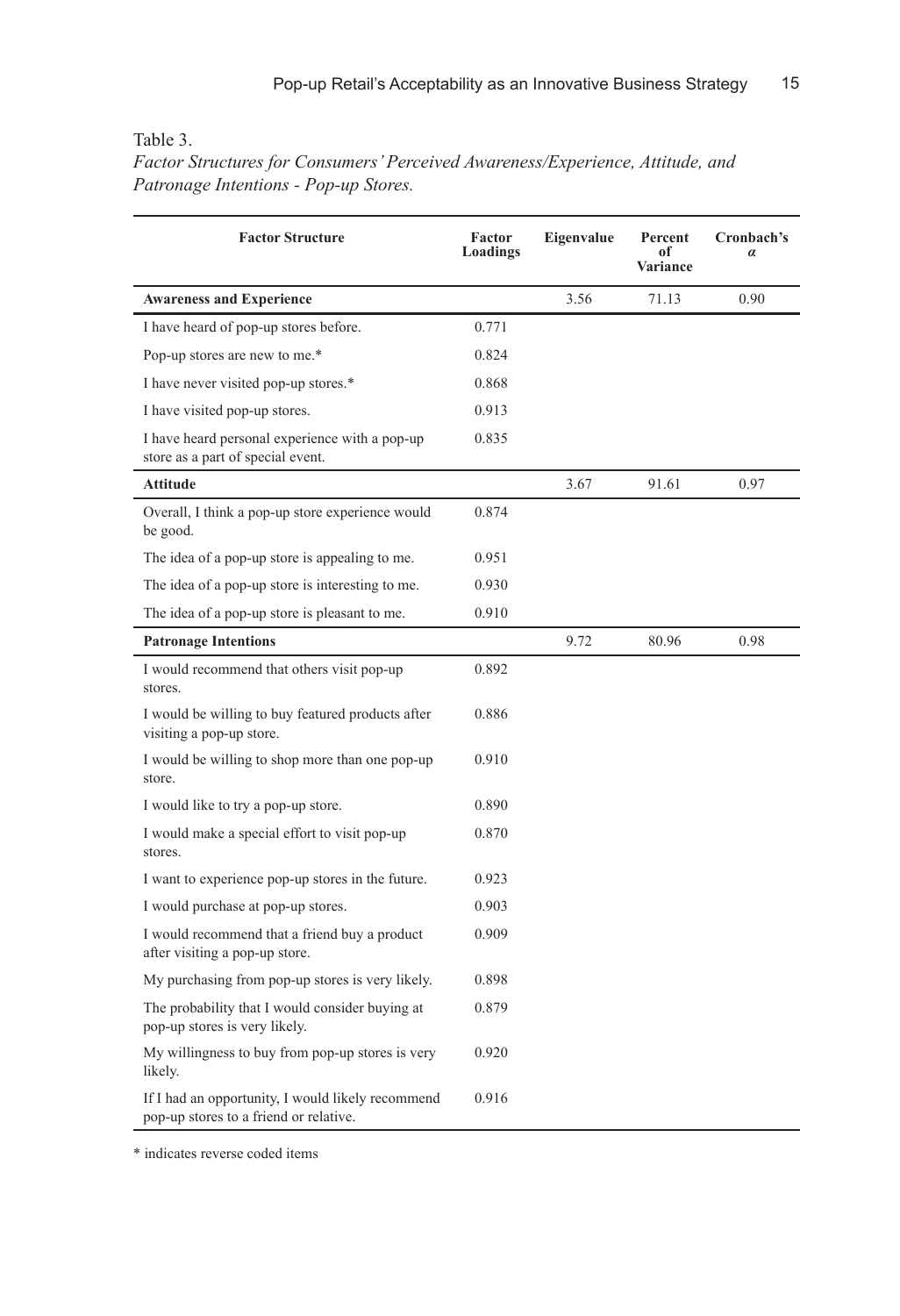#### Table 3.

*Factor Structures for Consumers' Perceived Awareness/Experience, Attitude, and Patronage Intentions - Pop-up Stores.*

| <b>Factor Structure</b>                                                                     | Factor<br>Loadings | Eigenvalue | Percent<br>of<br><b>Variance</b> | Cronbach's<br>$\alpha$ |
|---------------------------------------------------------------------------------------------|--------------------|------------|----------------------------------|------------------------|
| <b>Awareness and Experience</b>                                                             |                    | 3.56       | 71.13                            | 0.90                   |
| I have heard of pop-up stores before.                                                       | 0.771              |            |                                  |                        |
| Pop-up stores are new to me.*                                                               | 0.824              |            |                                  |                        |
| I have never visited pop-up stores.*                                                        | 0.868              |            |                                  |                        |
| I have visited pop-up stores.                                                               | 0.913              |            |                                  |                        |
| I have heard personal experience with a pop-up<br>store as a part of special event.         | 0.835              |            |                                  |                        |
| <b>Attitude</b>                                                                             |                    | 3.67       | 91.61                            | 0.97                   |
| Overall, I think a pop-up store experience would<br>be good.                                | 0.874              |            |                                  |                        |
| The idea of a pop-up store is appealing to me.                                              | 0.951              |            |                                  |                        |
| The idea of a pop-up store is interesting to me.                                            | 0.930              |            |                                  |                        |
| The idea of a pop-up store is pleasant to me.                                               | 0.910              |            |                                  |                        |
| <b>Patronage Intentions</b>                                                                 |                    | 9.72       | 80.96                            | 0.98                   |
| I would recommend that others visit pop-up<br>stores.                                       | 0.892              |            |                                  |                        |
| I would be willing to buy featured products after<br>visiting a pop-up store.               | 0.886              |            |                                  |                        |
| I would be willing to shop more than one pop-up<br>store.                                   | 0.910              |            |                                  |                        |
| I would like to try a pop-up store.                                                         | 0.890              |            |                                  |                        |
| I would make a special effort to visit pop-up<br>stores.                                    | 0.870              |            |                                  |                        |
| I want to experience pop-up stores in the future.                                           | 0.923              |            |                                  |                        |
| I would purchase at pop-up stores.                                                          | 0.903              |            |                                  |                        |
| I would recommend that a friend buy a product<br>after visiting a pop-up store.             | 0.909              |            |                                  |                        |
| My purchasing from pop-up stores is very likely.                                            | 0.898              |            |                                  |                        |
| The probability that I would consider buying at<br>pop-up stores is very likely.            | 0.879              |            |                                  |                        |
| My willingness to buy from pop-up stores is very<br>likely.                                 | 0.920              |            |                                  |                        |
| If I had an opportunity, I would likely recommend<br>pop-up stores to a friend or relative. | 0.916              |            |                                  |                        |

\* indicates reverse coded items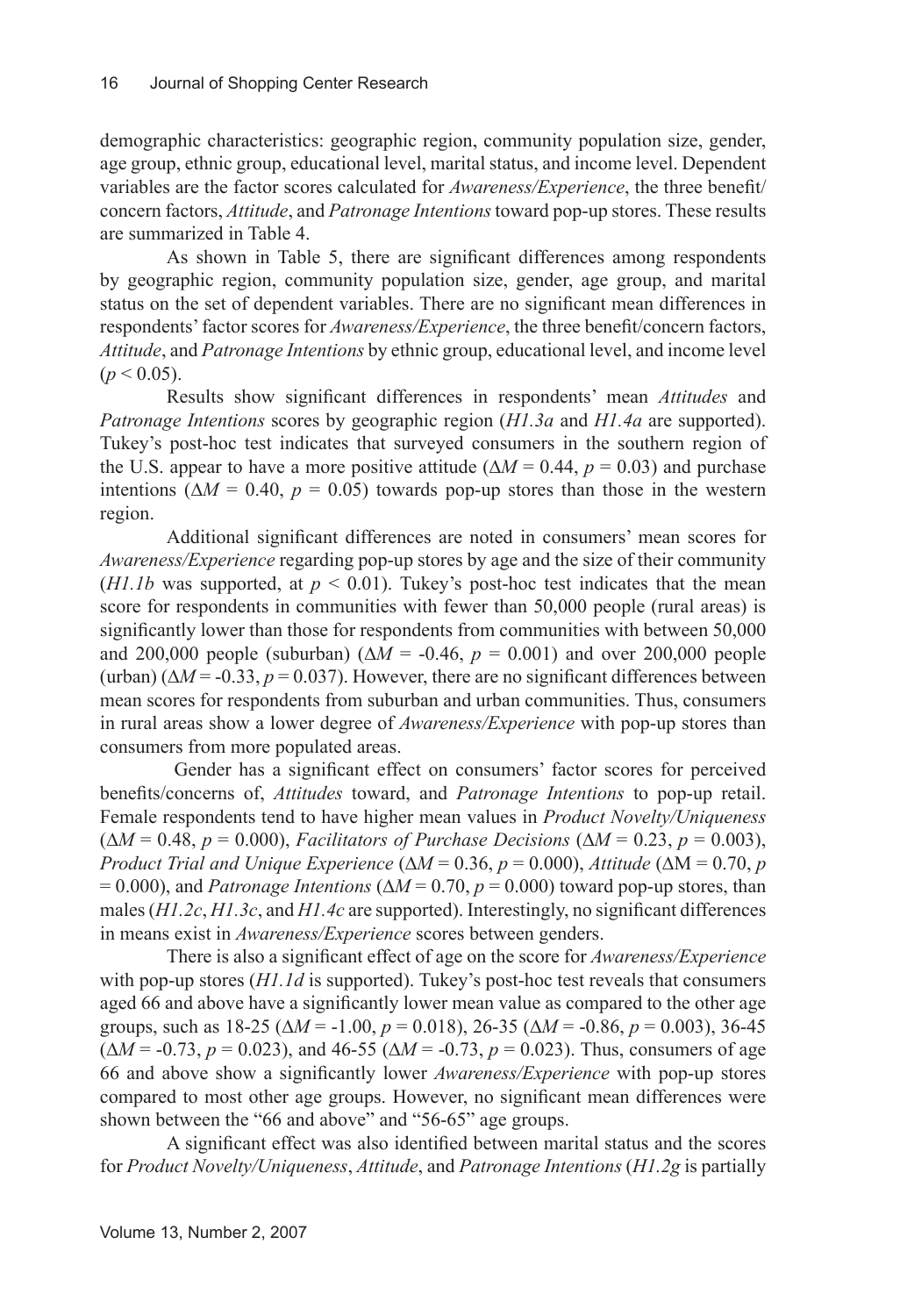demographic characteristics: geographic region, community population size, gender, age group, ethnic group, educational level, marital status, and income level. Dependent variables are the factor scores calculated for *Awareness/Experience*, the three benefit/ concern factors, *Attitude*, and *Patronage Intentions* toward pop-up stores. These results are summarized in Table 4.

As shown in Table 5, there are significant differences among respondents by geographic region, community population size, gender, age group, and marital status on the set of dependent variables. There are no significant mean differences in respondents' factor scores for *Awareness/Experience*, the three benefit/concern factors, *Attitude*, and *Patronage Intentions* by ethnic group, educational level, and income level  $(p < 0.05)$ .

Results show significant differences in respondents' mean *Attitudes* and *Patronage Intentions* scores by geographic region (*H1.3a* and *H1.4a* are supported). Tukey's post-hoc test indicates that surveyed consumers in the southern region of the U.S. appear to have a more positive attitude ( $\Delta M = 0.44$ ,  $p = 0.03$ ) and purchase intentions ( $\Delta M = 0.40$ ,  $p = 0.05$ ) towards pop-up stores than those in the western region.

Additional significant differences are noted in consumers' mean scores for *Awareness/Experience* regarding pop-up stores by age and the size of their community (*H1.1b* was supported, at  $p < 0.01$ ). Tukey's post-hoc test indicates that the mean score for respondents in communities with fewer than 50,000 people (rural areas) is significantly lower than those for respondents from communities with between 50,000 and 200,000 people (suburban) ( $\Delta M = -0.46$ ,  $p = 0.001$ ) and over 200,000 people (urban) ( $\Delta M$  = -0.33, *p* = 0.037). However, there are no significant differences between mean scores for respondents from suburban and urban communities. Thus, consumers in rural areas show a lower degree of *Awareness/Experience* with pop-up stores than consumers from more populated areas.

 Gender has a significant effect on consumers' factor scores for perceived benefits/concerns of, *Attitudes* toward, and *Patronage Intentions* to pop-up retail. Female respondents tend to have higher mean values in *Product Novelty/Uniqueness*  (∆*M* = 0.48, *p* = 0.000), *Facilitators of Purchase Decisions* (∆*M* = 0.23, *p* = 0.003), *Product Trial and Unique Experience* ( $\Delta M = 0.36$ ,  $p = 0.000$ ), *Attitude* ( $\Delta M = 0.70$ , *p*  $= 0.000$ ), and *Patronage Intentions* ( $\Delta M = 0.70$ ,  $p = 0.000$ ) toward pop-up stores, than males (*H1.2c*, *H1.3c*, and *H1.4c* are supported). Interestingly, no significant differences in means exist in *Awareness/Experience* scores between genders.

There is also a significant effect of age on the score for *Awareness/Experience*  with pop-up stores (*H1.1d* is supported). Tukey's post-hoc test reveals that consumers aged 66 and above have a significantly lower mean value as compared to the other age groups, such as 18-25 (∆*M* = -1.00, *p* = 0.018), 26-35 (∆*M* = -0.86, *p* = 0.003), 36-45 (∆*M* = -0.73, *p* = 0.023), and 46-55 (∆*M* = -0.73, *p* = 0.023). Thus, consumers of age 66 and above show a significantly lower *Awareness/Experience* with pop-up stores compared to most other age groups. However, no significant mean differences were shown between the "66 and above" and "56-65" age groups.

A significant effect was also identified between marital status and the scores for *Product Novelty/Uniqueness*, *Attitude*, and *Patronage Intentions* (*H1.2g* is partially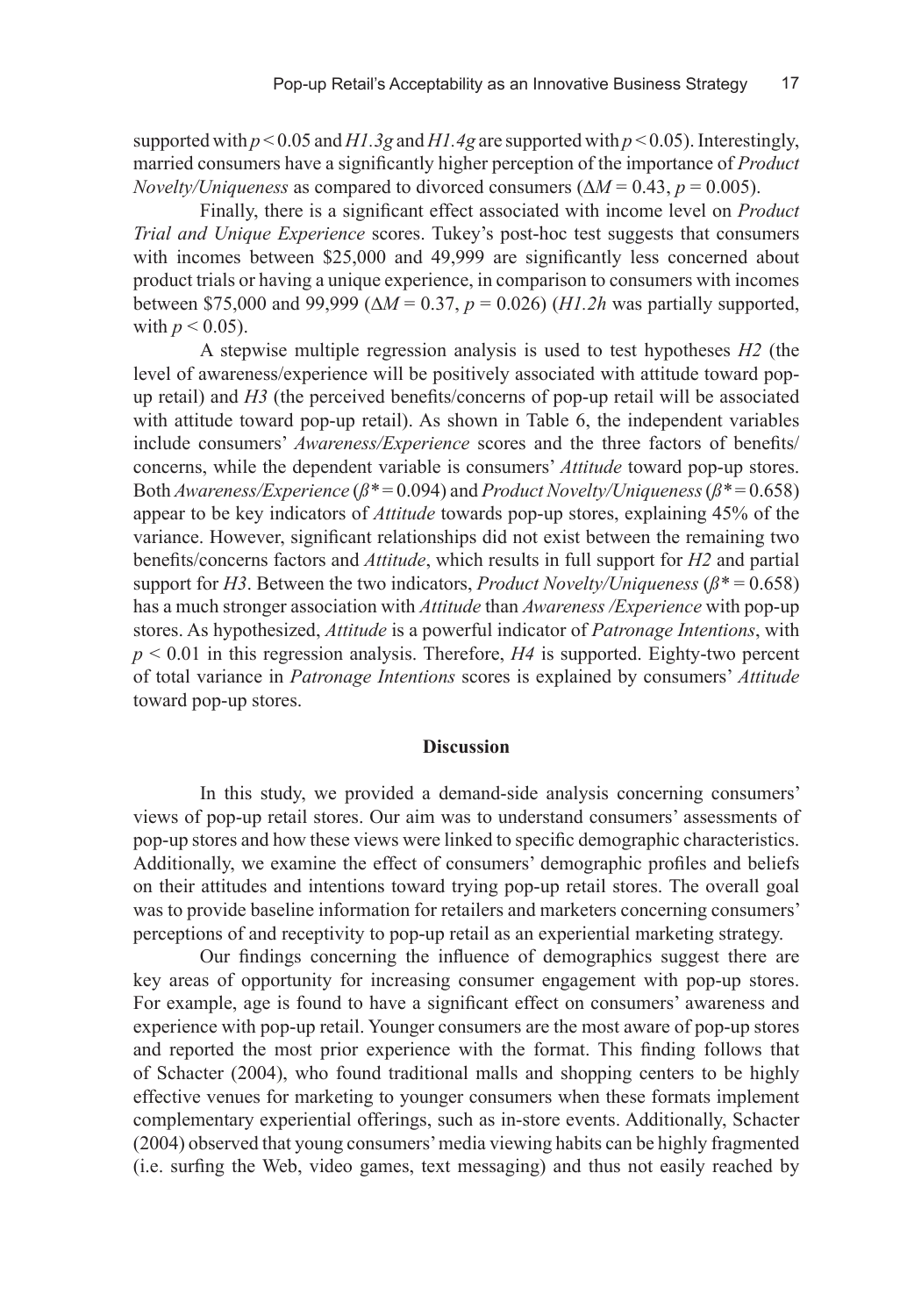supported with *p* < 0.05 and *H1.3g* and *H1.4g* are supported with *p* < 0.05). Interestingly, married consumers have a significantly higher perception of the importance of *Product Novelty/Uniqueness* as compared to divorced consumers (∆*M* = 0.43, *p* = 0.005).

Finally, there is a significant effect associated with income level on *Product Trial and Unique Experience* scores. Tukey's post-hoc test suggests that consumers with incomes between \$25,000 and 49,999 are significantly less concerned about product trials or having a unique experience, in comparison to consumers with incomes between \$75,000 and 99,999 (∆*M* = 0.37, *p* = 0.026) (*H1.2h* was partially supported, with  $p < 0.05$ ).

A stepwise multiple regression analysis is used to test hypotheses *H2* (the level of awareness/experience will be positively associated with attitude toward popup retail) and *H3* (the perceived benefits/concerns of pop-up retail will be associated with attitude toward pop-up retail). As shown in Table 6, the independent variables include consumers' *Awareness/Experience* scores and the three factors of benefits/ concerns, while the dependent variable is consumers' *Attitude* toward pop-up stores. Both *Awareness/Experience* (*ß\** = 0.094) and *Product Novelty/Uniqueness* (*ß\** = 0.658) appear to be key indicators of *Attitude* towards pop-up stores, explaining 45% of the variance. However, significant relationships did not exist between the remaining two benefits/concerns factors and *Attitude*, which results in full support for *H2* and partial support for *H3*. Between the two indicators, *Product Novelty/Uniqueness* ( $\beta^*$  = 0.658) has a much stronger association with *Attitude* than *Awareness /Experience* with pop-up stores. As hypothesized, *Attitude* is a powerful indicator of *Patronage Intentions*, with  $p \le 0.01$  in this regression analysis. Therefore,  $H4$  is supported. Eighty-two percent of total variance in *Patronage Intentions* scores is explained by consumers' *Attitude* toward pop-up stores.

#### **Discussion**

In this study, we provided a demand-side analysis concerning consumers' views of pop-up retail stores. Our aim was to understand consumers' assessments of pop-up stores and how these views were linked to specific demographic characteristics. Additionally, we examine the effect of consumers' demographic profiles and beliefs on their attitudes and intentions toward trying pop-up retail stores. The overall goal was to provide baseline information for retailers and marketers concerning consumers' perceptions of and receptivity to pop-up retail as an experiential marketing strategy.

Our findings concerning the influence of demographics suggest there are key areas of opportunity for increasing consumer engagement with pop-up stores. For example, age is found to have a significant effect on consumers' awareness and experience with pop-up retail. Younger consumers are the most aware of pop-up stores and reported the most prior experience with the format. This finding follows that of Schacter (2004), who found traditional malls and shopping centers to be highly effective venues for marketing to younger consumers when these formats implement complementary experiential offerings, such as in-store events. Additionally, Schacter (2004) observed that young consumers' media viewing habits can be highly fragmented (i.e. surfing the Web, video games, text messaging) and thus not easily reached by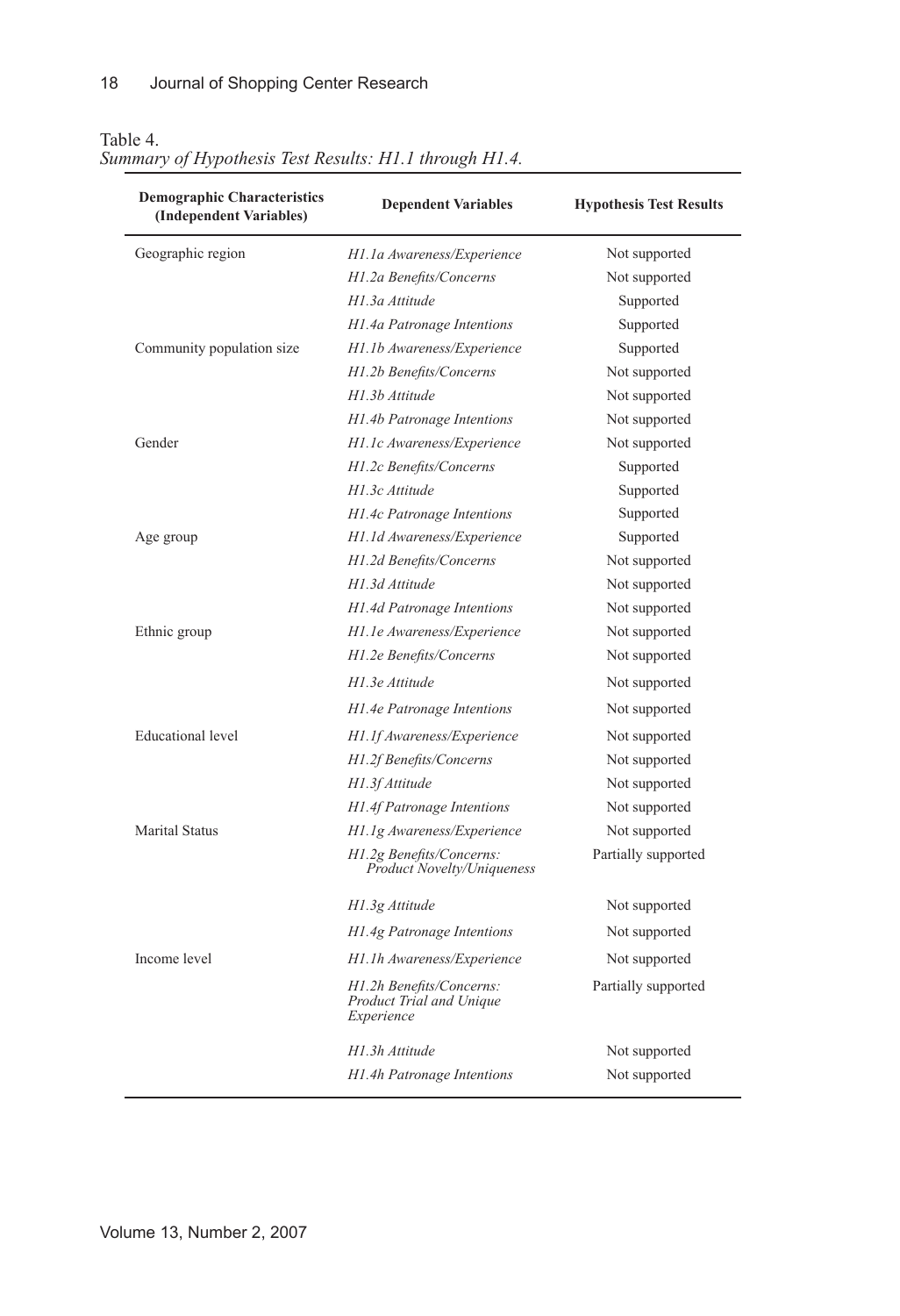| <b>Demographic Characteristics</b><br>(Independent Variables) | <b>Dependent Variables</b>                                         | <b>Hypothesis Test Results</b> |
|---------------------------------------------------------------|--------------------------------------------------------------------|--------------------------------|
| Geographic region                                             | H1.1a Awareness/Experience                                         | Not supported                  |
|                                                               | H1.2a Benefits/Concerns                                            | Not supported                  |
|                                                               | H1.3a Attitude                                                     | Supported                      |
|                                                               | H1.4a Patronage Intentions                                         | Supported                      |
| Community population size                                     | H1.1b Awareness/Experience                                         | Supported                      |
|                                                               | H1.2b Benefits/Concerns                                            | Not supported                  |
|                                                               | H1.3b Attitude                                                     | Not supported                  |
|                                                               | H1.4b Patronage Intentions                                         | Not supported                  |
| Gender                                                        | H1.1c Awareness/Experience                                         | Not supported                  |
|                                                               | H1.2c Benefits/Concerns                                            | Supported                      |
|                                                               | H1.3c Attitude                                                     | Supported                      |
|                                                               | H1.4c Patronage Intentions                                         | Supported                      |
| Age group                                                     | H1.1d Awareness/Experience                                         | Supported                      |
|                                                               | H1.2d Benefits/Concerns                                            | Not supported                  |
|                                                               | H1.3d Attitude                                                     | Not supported                  |
|                                                               | H1.4d Patronage Intentions                                         | Not supported                  |
| Ethnic group                                                  | H1.1e Awareness/Experience                                         | Not supported                  |
|                                                               | H1.2e Benefits/Concerns                                            | Not supported                  |
|                                                               | H1.3e Attitude                                                     | Not supported                  |
|                                                               | H1.4e Patronage Intentions                                         | Not supported                  |
| <b>Educational</b> level                                      | H1.1f Awareness/Experience                                         | Not supported                  |
|                                                               | H1.2f Benefits/Concerns                                            | Not supported                  |
|                                                               | H1.3f Attitude                                                     | Not supported                  |
|                                                               | H1.4f Patronage Intentions                                         | Not supported                  |
| <b>Marital Status</b>                                         | H1.1g Awareness/Experience                                         | Not supported                  |
|                                                               | H1.2g Benefits/Concerns:<br><b>Product Novelty/Uniqueness</b>      | Partially supported            |
|                                                               | H1.3g Attitude                                                     | Not supported                  |
|                                                               | H1.4g Patronage Intentions                                         | Not supported                  |
| Income level                                                  | H1.1h Awareness/Experience                                         | Not supported                  |
|                                                               | H1.2h Benefits/Concerns:<br>Product Trial and Unique<br>Experience | Partially supported            |
|                                                               | H1.3h Attitude                                                     | Not supported                  |
|                                                               | H1.4h Patronage Intentions                                         | Not supported                  |

#### Table 4.

# *Summary of Hypothesis Test Results: H1.1 through H1.4.*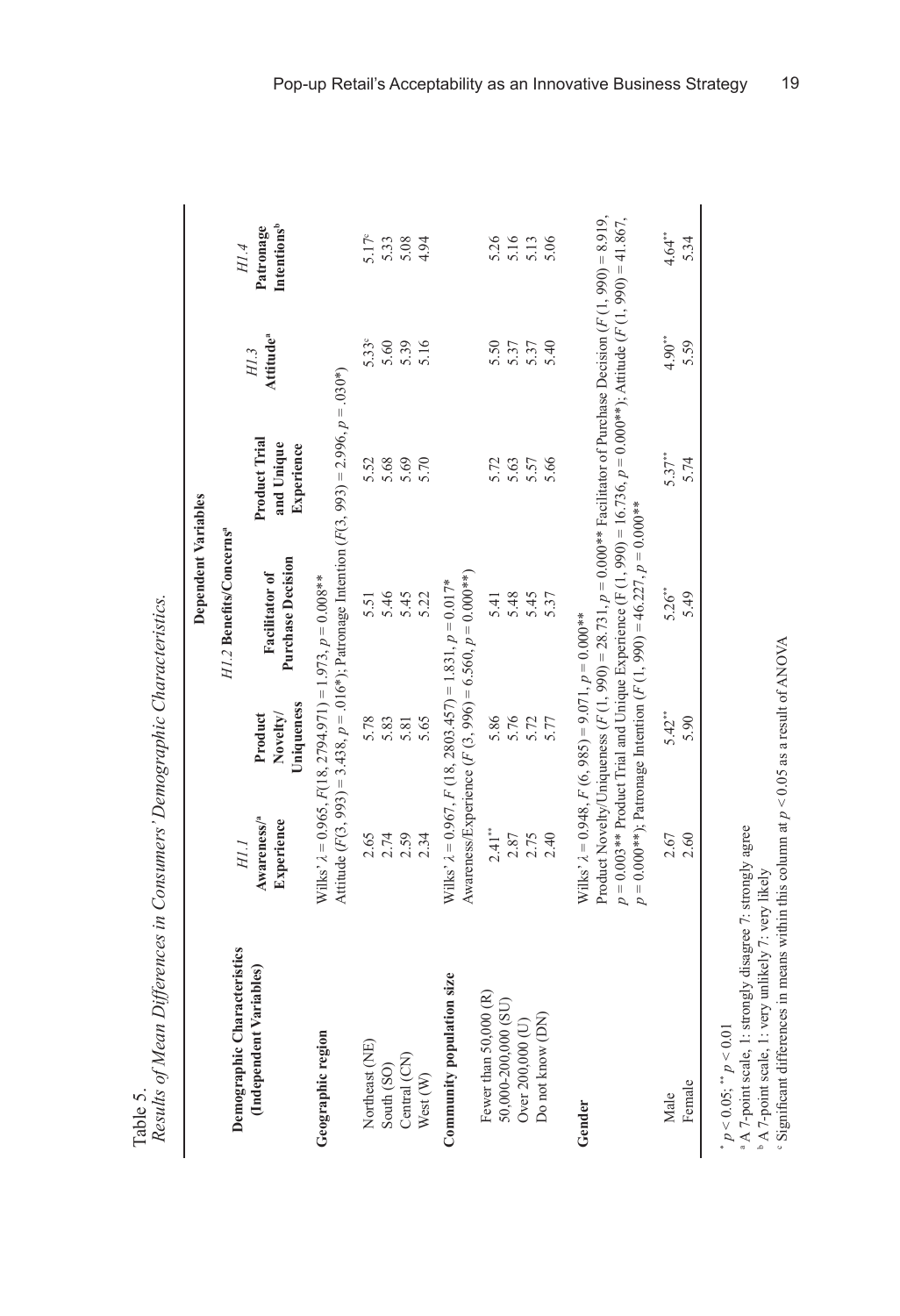|                    | In an at one at a a<br>ris Delling abunt Cummanni<br>$\ddot{\zeta}$<br>e in Concumane' Damographic Cl |
|--------------------|-------------------------------------------------------------------------------------------------------|
|                    |                                                                                                       |
|                    | $f$ <i>Moon Difformooo</i>                                                                            |
| c Anni T<br>.<br>م | sound of the file the city of College in<br>2.1117                                                    |

|                             |                                                                |                                   | Dependent Variables                                                                                                                                                                                                                                                                                                        |                                           |                               |                                      |
|-----------------------------|----------------------------------------------------------------|-----------------------------------|----------------------------------------------------------------------------------------------------------------------------------------------------------------------------------------------------------------------------------------------------------------------------------------------------------------------------|-------------------------------------------|-------------------------------|--------------------------------------|
| Demographic Characteristics | HI.I                                                           |                                   | HI 2 Benefits/Concerns <sup>ª</sup>                                                                                                                                                                                                                                                                                        |                                           |                               | H1.4                                 |
| (Independent Variables)     | Awareness/ <sup>a</sup><br>Experience                          | Uniqueness<br>Novelty/<br>Product | <b>Purchase Decision</b><br><b>Facilitator</b> of                                                                                                                                                                                                                                                                          | Product Trial<br>and Unique<br>Experience | Attitude <sup>a</sup><br>H1.3 | Intentions <sup>b</sup><br>Patronage |
| Geographic region           |                                                                |                                   | Attitude (F(3, 993) = 3.438, $p = .016*$ ); Patromage Intention (F(3, 993) = 2.996, $p = .030*$ )<br>Wilks' $\lambda$ = 0.965, $F(18, 2794.971) = 1.973$ , $p = 0.008**$                                                                                                                                                   |                                           |                               |                                      |
| Northeast (NE)              | 2.65                                                           | 5.78                              | 5.51                                                                                                                                                                                                                                                                                                                       | 5.52                                      | 5.33 <sup>c</sup>             | $5.17^{\circ}$                       |
| South (SO)                  | 2.74                                                           | 5.83                              | 5.46                                                                                                                                                                                                                                                                                                                       | 5.68                                      | 5.60                          | 5.33                                 |
| Central (CN)                | 2.59                                                           | 5.81                              | 5.45                                                                                                                                                                                                                                                                                                                       | 5.69                                      | 5.39                          | 5.08                                 |
| West (W)                    | 2.34                                                           | 5.65                              | 5.22                                                                                                                                                                                                                                                                                                                       | 5.70                                      | 5.16                          | 4.94                                 |
| Community population size   | Wilks' $\lambda$ = 0.967, F (18, 2803.457) = 1.831, p = 0.017* |                                   | Awareness/Experience $(F(3, 996) = 6.560, p = 0.000**$                                                                                                                                                                                                                                                                     |                                           |                               |                                      |
| Fewer than 50,000 (R)       | 2.41"                                                          | 5.86                              | 5.41                                                                                                                                                                                                                                                                                                                       | 5.72                                      | 5.50                          | 5.26                                 |
| 50,000-200,000 (SU)         | 2.87                                                           | 5.76                              | 5.48                                                                                                                                                                                                                                                                                                                       | 5.63                                      | 5.37                          | 5.16                                 |
| Over 200,000 (U)            | 2.75                                                           | 5.72                              | 5.45                                                                                                                                                                                                                                                                                                                       | 5.57                                      | 5.37                          | 5.13                                 |
| Do not know (DN)            | 2.40                                                           | 5.77                              | 5.37                                                                                                                                                                                                                                                                                                                       | 5.66                                      | 5.40                          | 5.06                                 |
| Gender                      | Wilks' $\lambda$ = 0.948, $F(6, 985) = 9.071$ , $p = 0.000**$  |                                   | Product Novelty/Uniqueness $(F(1, 990) = 28.731, p = 0.000**$ Pacilitator of Purchase Decision $(F(1, 990) = 8.919,$<br>$p = 0.003**$ Product Trial and Unique Experience (F (1, 990) = 16.736, $p = 0.000**$ ); Attitude (F (1, 990) = 41.867,<br>$p = 0.000**$ ; Patromage Intention (F (1, 990) = 46.227, $p = 0.000**$ |                                           |                               |                                      |
| Male                        | 2.67                                                           | $5.42**$                          | 5.26"                                                                                                                                                                                                                                                                                                                      | $5.37**$                                  | $4.90**$                      | $4.64***$                            |
| Female                      | 2.60                                                           | 5.90                              | 5.49                                                                                                                                                                                                                                                                                                                       | 5.74                                      | 5.59                          | 5.34                                 |

 $p^* p < 0.05$ ;  $p^* p < 0.01$ <br> **a** A 7-point scale, 1: strongly disagree 7: strongly agree

b A 7-point scale, 1: very unlikely 7: very likely

\*  $p < 0.05$ , \*  $p < 0.01$ <br>
\* A 7-point scale, 1: strongly disagree 7: strongly agree<br>
\* A 7-point scale, 1: very unlikely 7: very likely<br>
\* Significant differences in means within this column at  $p < 0.05$  as a result of AN c Significant differences in means within this column at *p* < 0.05 as a result of ANOVA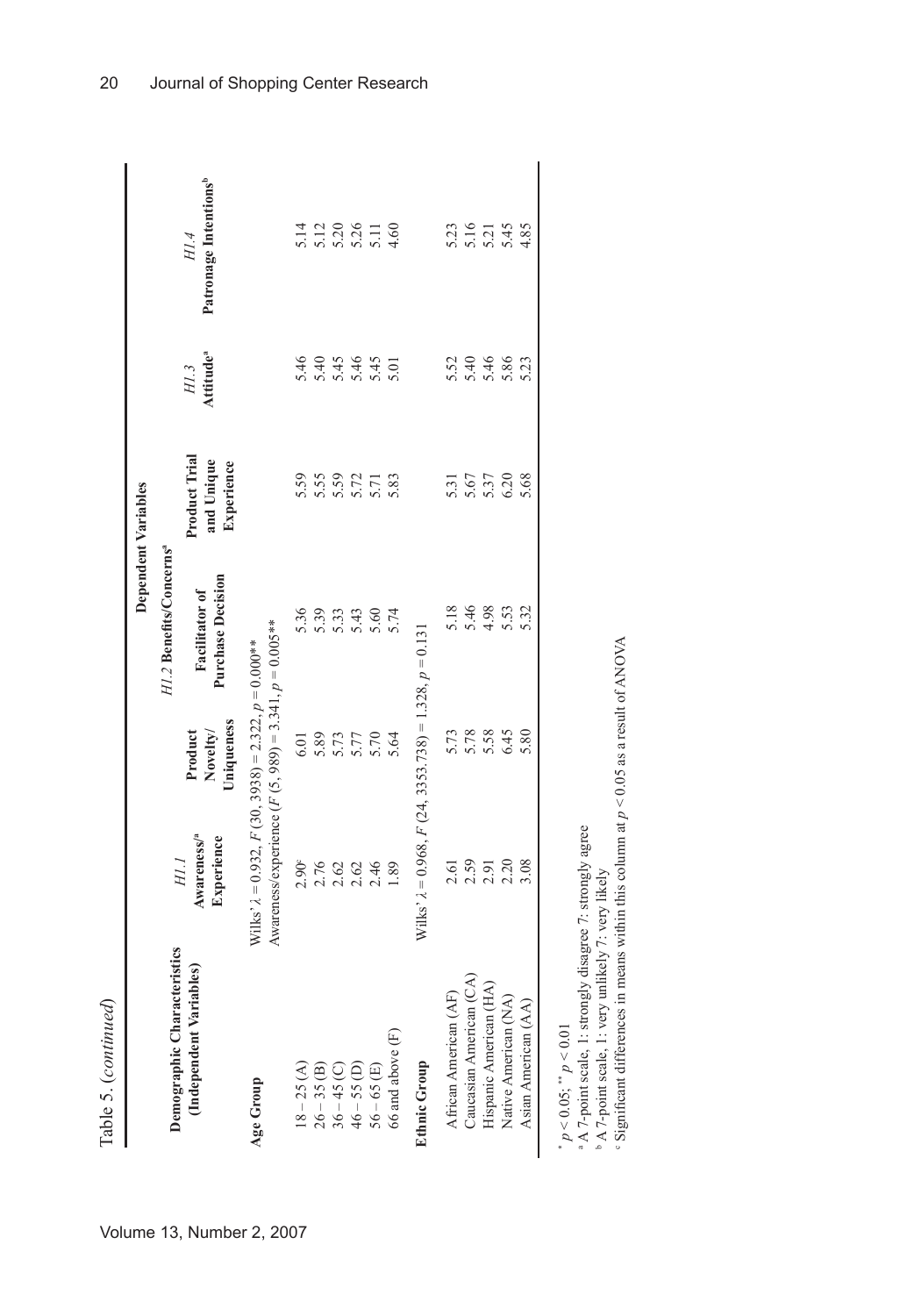| i,<br>č |  |
|---------|--|
| ï<br>ų  |  |
| ٦       |  |

|                     |                                     | Patronage Intentions <sup>b</sup><br>H1.4    |                                                                                                                      |                |               | $11300110$<br>$0.700110$<br>$0.700110$        |      |               |                               |                                                                   |                       |                         | 5.21<br>5.21<br>5.45                             |                      | 4.85                |
|---------------------|-------------------------------------|----------------------------------------------|----------------------------------------------------------------------------------------------------------------------|----------------|---------------|-----------------------------------------------|------|---------------|-------------------------------|-------------------------------------------------------------------|-----------------------|-------------------------|--------------------------------------------------|----------------------|---------------------|
|                     |                                     | Attitude <sup>ª</sup><br>H1.3                |                                                                                                                      | 5.46           |               | $44445$<br>$4445$<br>$6445$<br>$645$<br>$645$ |      |               |                               |                                                                   |                       | 5.54<br>5.46<br>5.46    |                                                  | 5.86                 | 5.23                |
| Dependent Variables |                                     | Product Trial<br>and Unique<br>Experience    |                                                                                                                      | 5.59           | 5.55          | $5.57$<br>$5.71$                              |      |               | 5.83                          |                                                                   | 5.31                  | 5.67                    | 5.37                                             | 6.20                 | 5.68                |
|                     | H1.2 Benefits/Concerns <sup>ª</sup> | <b>Purchase Decision</b><br>Facilitator of   |                                                                                                                      | 5.36           | 5.39          | 5.33                                          | 5.43 | 5.60          | 5.74                          |                                                                   | 5.18                  | 5.46                    | 4.98                                             | 5.53                 | 5.32                |
|                     |                                     | Uniqueness<br>Novelty/<br>Product            |                                                                                                                      | 6.01           | 5.89          | 5.73                                          |      | 5.70          | 5.64                          |                                                                   | 5.73                  |                         | 5.78                                             | 6.45                 | 5.80                |
|                     |                                     | Awareness/ <sup>a</sup><br>Experience<br>H.I | Awareness/experience $(F(5, 989) = 3.341, p = 0.005**$<br>Wilks' $\lambda$ = 0.932, F (30, 3938) = 2.322, p = 0.00** | $2.90^{\circ}$ |               | 2.20246                                       |      |               | 1.89                          | Wilks' $\lambda$ = 0.968, $F$ (24, 3353.738) = 1.328, $p = 0.131$ | 2.61                  |                         | $2,59$<br>$2,50$<br>$2,50$                       |                      | 3.08                |
|                     | Demographic Characteristics         | (Independent Variables)                      | Age Group                                                                                                            | $18 - 25(A)$   | $26 - 35$ (B) | $36 - 45$ (C)<br>46 – 55 (D)                  |      | $56 - 65$ (E) | $66$ and above $(\mathrm{F})$ | <b>Ethnic Group</b>                                               | African American (AF) | Caucasian American (CA) | $\widehat{\mathcal{A}}$<br>Hispanic American (H. | Native American (NA) | Asian American (AA) |

 $p^* p < 0.05$ ;  $^* p < 0.01$ <br> **a** A 7-point scale, 1: strongly disagree 7: strongly agree

b A 7-point scale, 1: very unlikely 7: very likely

" $p < 0.05$ , " $p < 0.01$ <br>
"A 7-point scale, 1: strongly disagree 7: strongly agree<br>
"A 7-point scale, 1: very unlikely 7: very likely<br>
"Significant differences in means within this column at  $p < 0.05$  as a result of ANOVA c Significant differences in means within this column at *p* < 0.05 as a result of ANOVA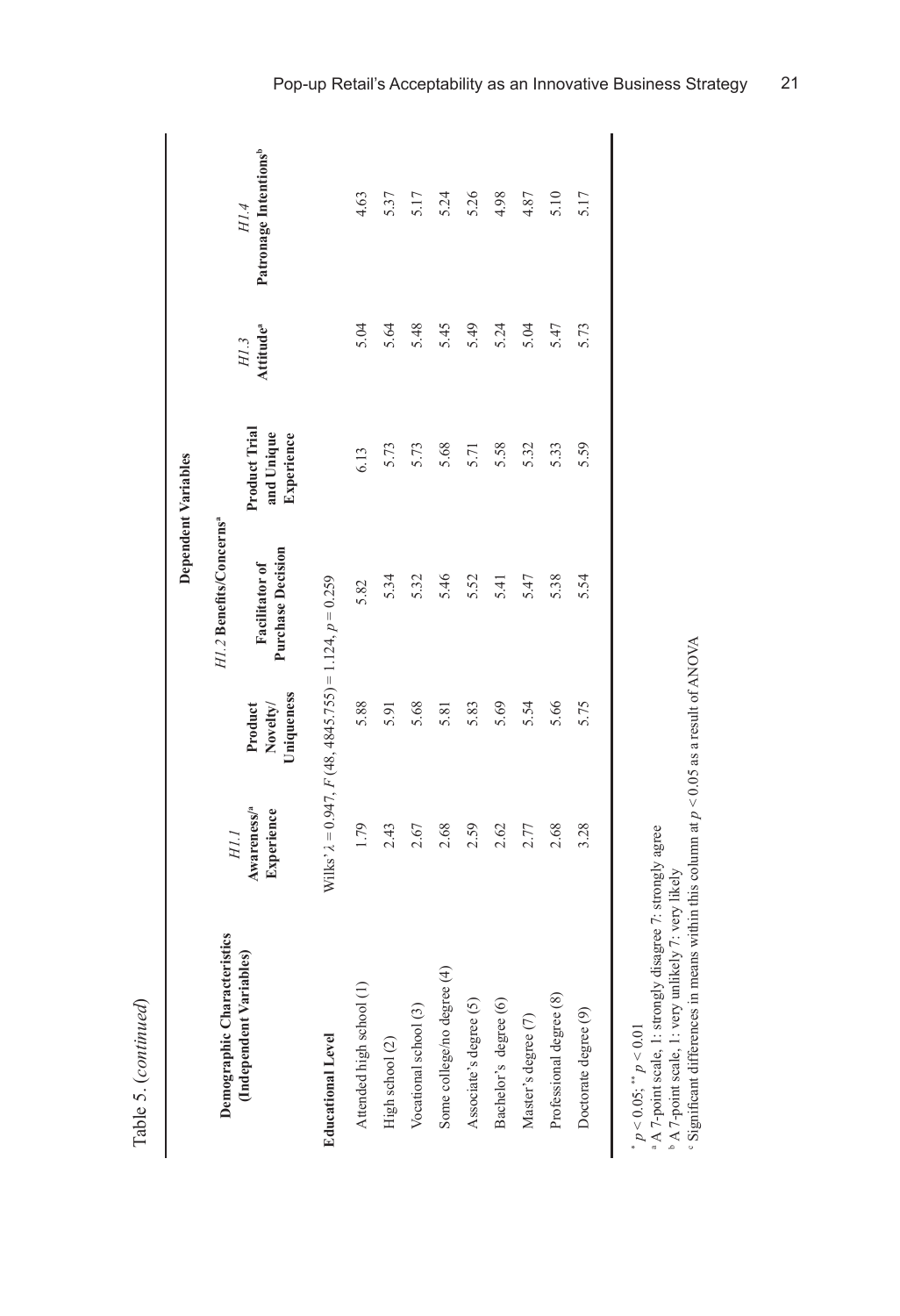| ı | $\overline{\phantom{0}}$<br>í |
|---|-------------------------------|
| ι | í                             |
|   |                               |

|                               |                                                                   |                                   |                                            | Dependent Variables                       |                               |                                           |
|-------------------------------|-------------------------------------------------------------------|-----------------------------------|--------------------------------------------|-------------------------------------------|-------------------------------|-------------------------------------------|
| Demographic Characteristics   | H1.1                                                              |                                   | H1.2 Benefits/Concernsª                    |                                           |                               |                                           |
| (Independent Variables)       | Awareness/ <sup>a</sup><br>Experience                             | Uniqueness<br>Novelty/<br>Product | <b>Purchase Decision</b><br>Facilitator of | Product Trial<br>and Unique<br>Experience | Attitude <sup>a</sup><br>H1.3 | Patronage Intentions <sup>b</sup><br>H1.4 |
| <b>Educational Level</b>      | Wilks' $\lambda$ = 0.947, $F$ (48, 4845.755) = 1.124, $p = 0.259$ |                                   |                                            |                                           |                               |                                           |
| Attended high school (1)      | 1.79                                                              | 5.88                              | 5.82                                       | 6.13                                      | 5.04                          | 4.63                                      |
| High school $\left( 2\right)$ | 2.43                                                              | 5.91                              | 5.34                                       | 5.73                                      | 5.64                          | 5.37                                      |
| Vocational school (3)         | 2.67                                                              | 5.68                              | 5.32                                       | 5.73                                      | 5.48                          | 5.17                                      |
| Some college/no degree (4)    | 2.68                                                              | 5.81                              | 5.46                                       | 5.68                                      | 5.45                          | 5.24                                      |
| Associate's degree (5)        | 2.59                                                              | 5.83                              | 5.52                                       | 5.71                                      | 5.49                          | 5.26                                      |
| Bachelor's degree (6)         | 2.62                                                              | 5.69                              | 5.41                                       | 5.58                                      | 5.24                          | 4.98                                      |
| Master's degree (7)           | 2.77                                                              | 5.54                              | 5.47                                       | 5.32                                      | 5.04                          | 4.87                                      |
| Professional degree (8)       | 2.68                                                              | 5.66                              | 5.38                                       | 5.33                                      | 5.47                          | 5.10                                      |
| Doctorate degree (9)          | 3.28                                                              | 5.75                              | 5.54                                       | 5.59                                      | 5.73                          | 5.17                                      |
|                               |                                                                   |                                   |                                            |                                           |                               |                                           |

 $p^* p < 0.05$ ;  $p^* p < 0.01$ <br>*p*  $p$   $\Delta$  7-point scale, 1: strongly disagree 7: strongly agree

b A 7-point scale, 1: very unlikely 7: very likely

\*  $p < 0.05$ , \*  $p < 0.01$ <br>\* A 7-point scale, 1: strongly disagree 7: strongly agree<br>\* A 7-point scale, 1: very unlikely 7: very likely<br>\* Significant differences in means within this column at  $p < 0.05$  as a result of ANOVA c Significant differences in means within this column at *p* < 0.05 as a result of ANOVA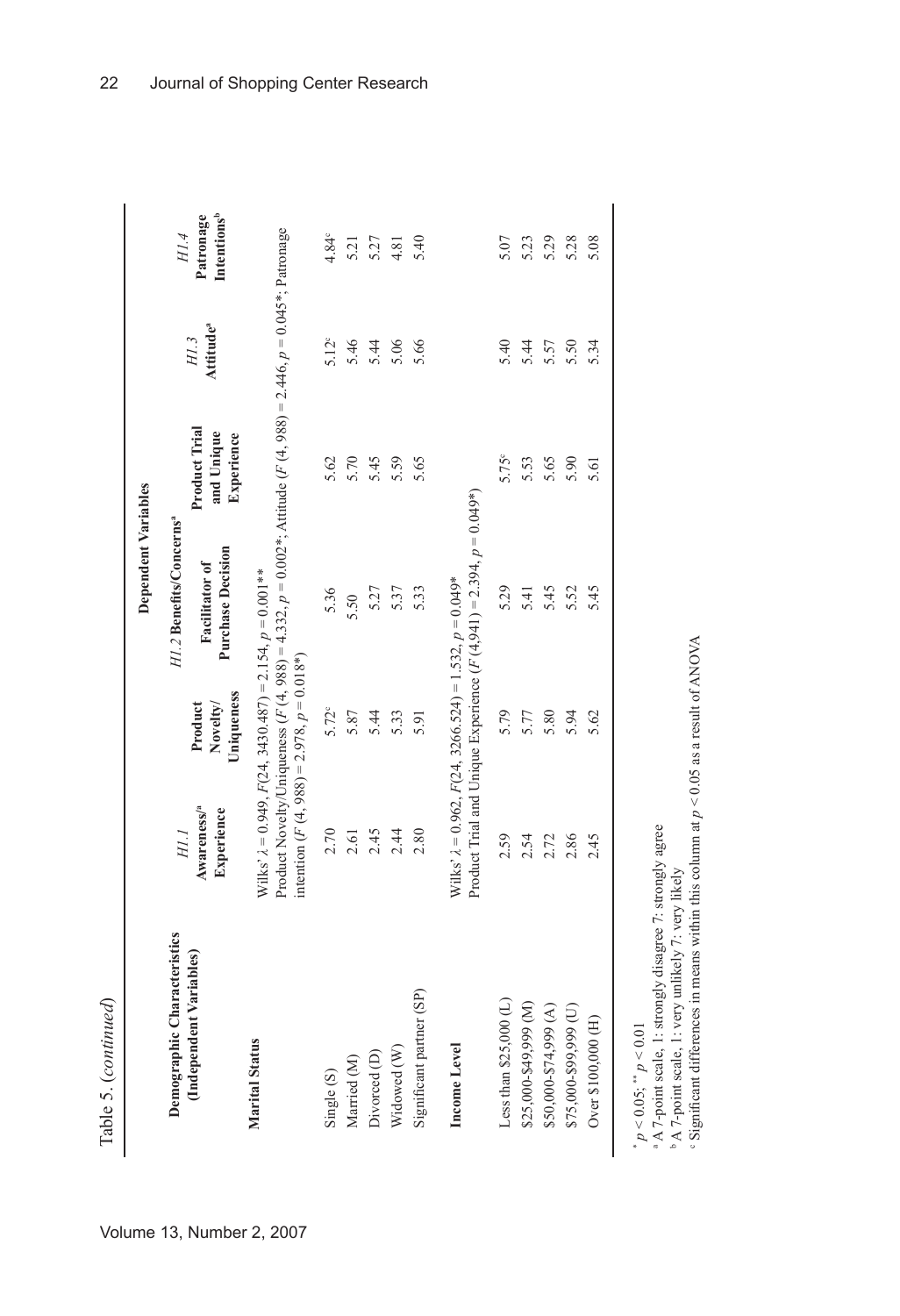|                                                             |                                                                                                                    |                                   | Dependent Variables                                                                                                 |                                           |                               |                                                     |
|-------------------------------------------------------------|--------------------------------------------------------------------------------------------------------------------|-----------------------------------|---------------------------------------------------------------------------------------------------------------------|-------------------------------------------|-------------------------------|-----------------------------------------------------|
| haracteristics<br>(Independent Variables)<br>Demographic Cl | Awareness/ <sup>a</sup><br>Experience<br>HII                                                                       | Uniqueness<br>Novelty/<br>Product | H1.2 Benefits/Concerns <sup>ª</sup><br><b>Purchase Decision</b><br>Facilitator of                                   | Product Trial<br>and Unique<br>Experience | Attitude <sup>a</sup><br>H1.3 | <b>Intentions</b> <sup>b</sup><br>Patronage<br>H1.4 |
| <b>Marital Status</b>                                       | Wilks' $\lambda$ = 0.949, $F(24, 3430.487) = 2.154$ , $p = 0.001**$<br>intention $(F(4, 988) = 2.978, p = 0.018*)$ |                                   | Product Novelty/Uniqueness $(F(4, 988) = 4.332, p = 0.002$ *; Attitude $(F(4, 988) = 2.446, p = 0.045$ *; Patronage |                                           |                               |                                                     |
| Single (S)                                                  | 2.70                                                                                                               | $5.72^{\circ}$                    | 5.36                                                                                                                | 5.62                                      | 5.12 <sup>c</sup>             | $4.84^{\circ}$                                      |
| Married (M)                                                 | 2.61                                                                                                               | 5.87                              | 5.50                                                                                                                | 5.70                                      | 5.46                          | 5.21                                                |
| Divorced <sub>(D)</sub>                                     | 2.45                                                                                                               | 5.44                              | 5.27                                                                                                                | 5.45                                      | 5.44                          | 5.27                                                |
| Widowed (W)                                                 | 2.44                                                                                                               | 5.33                              | 5.37                                                                                                                | 5.59                                      | 5.06                          | 4.81                                                |
| (SP)<br>Significant partner                                 | 2.80                                                                                                               | 5.91                              | 5.33                                                                                                                | 5.65                                      | 5.66                          | 5.40                                                |
| Income Level                                                | Wilks' $\lambda = 0.962$ , $F(24, 3266.524) = 1.532$ , $p = 0.049*$                                                |                                   | Product Trial and Unique Experience $(F(4, 941) = 2.394, p = 0.049*)$                                               |                                           |                               |                                                     |
| £<br>Less than \$25,000                                     | 2.59                                                                                                               | 5.79                              | 5.29                                                                                                                | 5.75°                                     | 5.40                          | 5.07                                                |
|                                                             | 2.54                                                                                                               | 5.77                              | 5.41                                                                                                                | 5.53                                      | 5.44                          | 5.23                                                |
| $$25,000-$49,999 (M)$ $$50,000-$74,999 (A)$                 | 2.72                                                                                                               | 5.80                              | 5.45                                                                                                                | 5.65                                      | 5.57                          | 5.29                                                |
| \$75,000-\$99,999 (U)                                       | 2.86                                                                                                               | 5.94                              | 5.52                                                                                                                | 5.90                                      | 5.50                          | 5.28                                                |
| Over \$100,000 (H)                                          | 2.45                                                                                                               | 5.62                              | 5.45                                                                                                                | 5.61                                      | 5.34                          | 5.08                                                |

 $p < 0.05$ ;  $\degree p < 0.01$ 

\*

a A 7-point scale, 1: strongly disagree 7: strongly agree

b A 7-point scale, 1: very unlikely 7: very likely

c Significant differences in means within this column at *p* < 0.05 as a result of ANOVA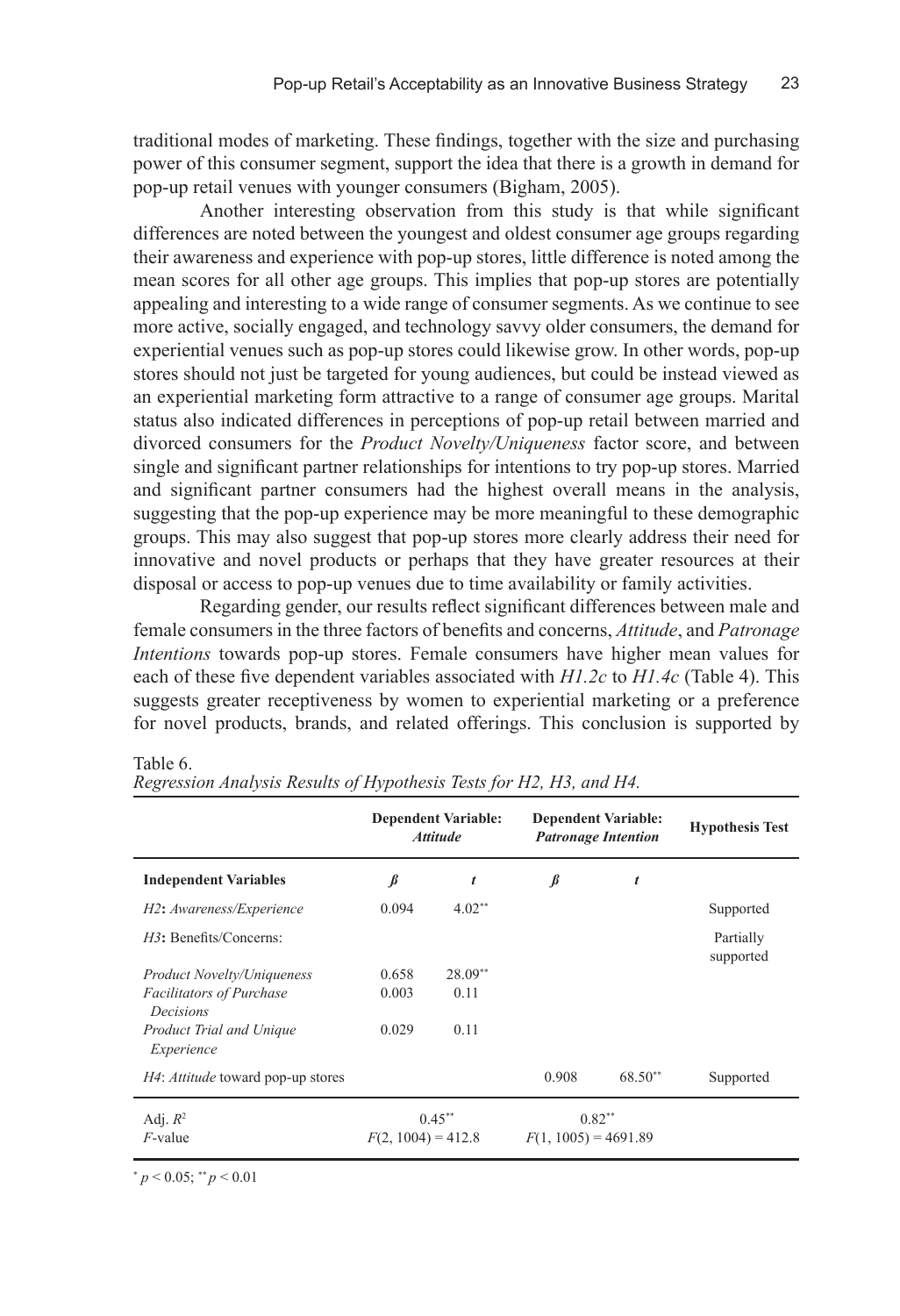traditional modes of marketing. These findings, together with the size and purchasing power of this consumer segment, support the idea that there is a growth in demand for pop-up retail venues with younger consumers (Bigham, 2005).

Another interesting observation from this study is that while significant differences are noted between the youngest and oldest consumer age groups regarding their awareness and experience with pop-up stores, little difference is noted among the mean scores for all other age groups. This implies that pop-up stores are potentially appealing and interesting to a wide range of consumer segments. As we continue to see more active, socially engaged, and technology savvy older consumers, the demand for experiential venues such as pop-up stores could likewise grow. In other words, pop-up stores should not just be targeted for young audiences, but could be instead viewed as an experiential marketing form attractive to a range of consumer age groups. Marital status also indicated differences in perceptions of pop-up retail between married and divorced consumers for the *Product Novelty/Uniqueness* factor score, and between single and significant partner relationships for intentions to try pop-up stores. Married and significant partner consumers had the highest overall means in the analysis, suggesting that the pop-up experience may be more meaningful to these demographic groups. This may also suggest that pop-up stores more clearly address their need for innovative and novel products or perhaps that they have greater resources at their disposal or access to pop-up venues due to time availability or family activities.

Regarding gender, our results reflect significant differences between male and female consumers in the three factors of benefits and concerns, *Attitude*, and *Patronage Intentions* towards pop-up stores. Female consumers have higher mean values for each of these five dependent variables associated with *H1.2c* to *H1.4c* (Table 4). This suggests greater receptiveness by women to experiential marketing or a preference for novel products, brands, and related offerings. This conclusion is supported by

|                                              | <b>Dependent Variable:</b><br><b>Attitude</b> |           | <b>Dependent Variable:</b><br><b>Patronage Intention</b> |         | <b>Hypothesis Test</b> |
|----------------------------------------------|-----------------------------------------------|-----------|----------------------------------------------------------|---------|------------------------|
| <b>Independent Variables</b>                 | ß                                             | t         | $\beta$                                                  | t       |                        |
| H2: Awareness/Experience                     | 0.094                                         | $4.02**$  |                                                          |         | Supported              |
| $H3$ : Benefits/Concerns:                    |                                               |           |                                                          |         | Partially<br>supported |
| <i>Product Novelty/Uniqueness</i>            | 0.658                                         | $28.09**$ |                                                          |         |                        |
| <b>Facilitators of Purchase</b><br>Decisions | 0.003                                         | 0.11      |                                                          |         |                        |
| Product Trial and Unique<br>Experience       | 0.029                                         | 0.11      |                                                          |         |                        |
| <i>H4: Attitude</i> toward pop-up stores     |                                               |           | 0.908                                                    | 68.50** | Supported              |
| Adj. $R^2$<br>$F$ -value                     | $0.45***$<br>$F(2, 1004) = 412.8$             |           | $0.82**$<br>$F(1, 1005) = 4691.89$                       |         |                        |

#### Table 6.

*Regression Analysis Results of Hypothesis Tests for H2, H3, and H4.*

 $p < 0.05$ ; \*\*  $p < 0.01$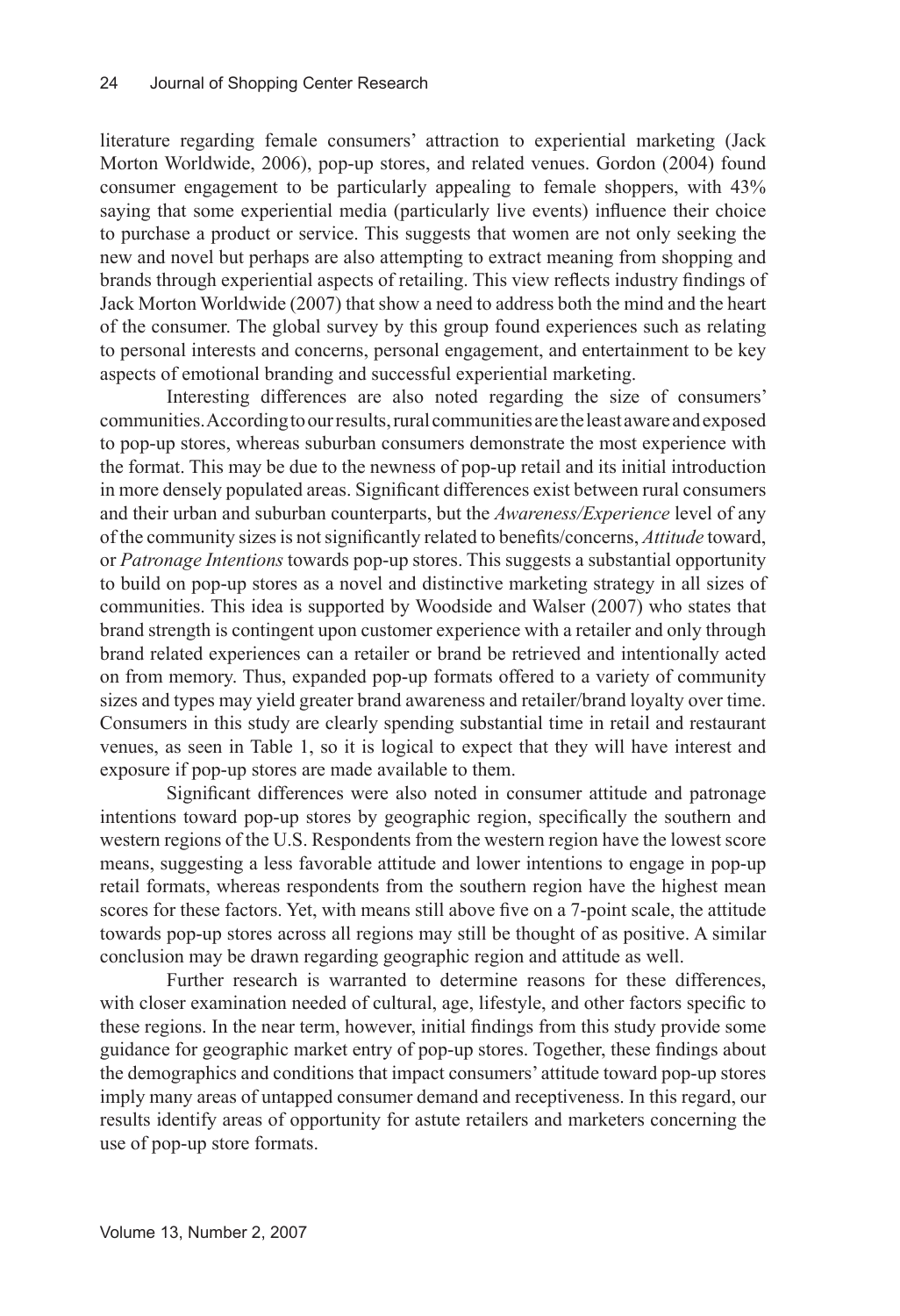literature regarding female consumers' attraction to experiential marketing (Jack Morton Worldwide, 2006), pop-up stores, and related venues. Gordon (2004) found consumer engagement to be particularly appealing to female shoppers, with 43% saying that some experiential media (particularly live events) influence their choice to purchase a product or service. This suggests that women are not only seeking the new and novel but perhaps are also attempting to extract meaning from shopping and brands through experiential aspects of retailing. This view reflects industry findings of Jack Morton Worldwide (2007) that show a need to address both the mind and the heart of the consumer. The global survey by this group found experiences such as relating to personal interests and concerns, personal engagement, and entertainment to be key aspects of emotional branding and successful experiential marketing.

Interesting differences are also noted regarding the size of consumers' communities. According to our results, rural communities are the least aware and exposed to pop-up stores, whereas suburban consumers demonstrate the most experience with the format. This may be due to the newness of pop-up retail and its initial introduction in more densely populated areas. Significant differences exist between rural consumers and their urban and suburban counterparts, but the *Awareness/Experience* level of any of the community sizes is not significantly related to benefits/concerns, *Attitude* toward, or *Patronage Intentions* towards pop-up stores. This suggests a substantial opportunity to build on pop-up stores as a novel and distinctive marketing strategy in all sizes of communities. This idea is supported by Woodside and Walser (2007) who states that brand strength is contingent upon customer experience with a retailer and only through brand related experiences can a retailer or brand be retrieved and intentionally acted on from memory. Thus, expanded pop-up formats offered to a variety of community sizes and types may yield greater brand awareness and retailer/brand loyalty over time. Consumers in this study are clearly spending substantial time in retail and restaurant venues, as seen in Table 1, so it is logical to expect that they will have interest and exposure if pop-up stores are made available to them.

Significant differences were also noted in consumer attitude and patronage intentions toward pop-up stores by geographic region, specifically the southern and western regions of the U.S. Respondents from the western region have the lowest score means, suggesting a less favorable attitude and lower intentions to engage in pop-up retail formats, whereas respondents from the southern region have the highest mean scores for these factors. Yet, with means still above five on a 7-point scale, the attitude towards pop-up stores across all regions may still be thought of as positive. A similar conclusion may be drawn regarding geographic region and attitude as well.

Further research is warranted to determine reasons for these differences, with closer examination needed of cultural, age, lifestyle, and other factors specific to these regions. In the near term, however, initial findings from this study provide some guidance for geographic market entry of pop-up stores. Together, these findings about the demographics and conditions that impact consumers' attitude toward pop-up stores imply many areas of untapped consumer demand and receptiveness. In this regard, our results identify areas of opportunity for astute retailers and marketers concerning the use of pop-up store formats.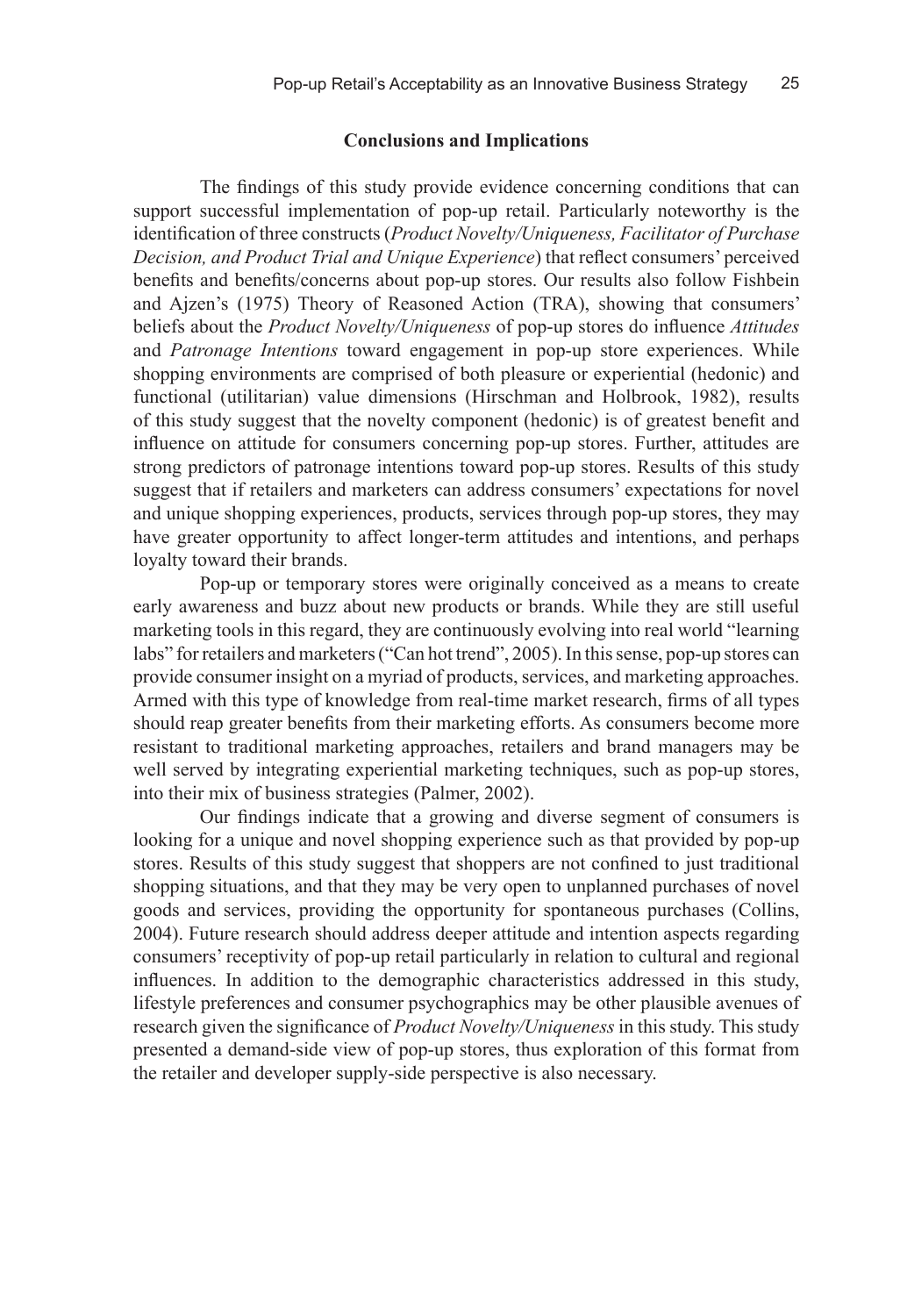#### **Conclusions and Implications**

The findings of this study provide evidence concerning conditions that can support successful implementation of pop-up retail. Particularly noteworthy is the identification of three constructs (*Product Novelty/Uniqueness, Facilitator of Purchase Decision, and Product Trial and Unique Experience*) that reflect consumers' perceived benefits and benefits/concerns about pop-up stores. Our results also follow Fishbein and Ajzen's (1975) Theory of Reasoned Action (TRA), showing that consumers' beliefs about the *Product Novelty/Uniqueness* of pop-up stores do influence *Attitudes* and *Patronage Intentions* toward engagement in pop-up store experiences. While shopping environments are comprised of both pleasure or experiential (hedonic) and functional (utilitarian) value dimensions (Hirschman and Holbrook, 1982), results of this study suggest that the novelty component (hedonic) is of greatest benefit and influence on attitude for consumers concerning pop-up stores. Further, attitudes are strong predictors of patronage intentions toward pop-up stores. Results of this study suggest that if retailers and marketers can address consumers' expectations for novel and unique shopping experiences, products, services through pop-up stores, they may have greater opportunity to affect longer-term attitudes and intentions, and perhaps loyalty toward their brands.

Pop-up or temporary stores were originally conceived as a means to create early awareness and buzz about new products or brands. While they are still useful marketing tools in this regard, they are continuously evolving into real world "learning labs" for retailers and marketers ("Can hot trend", 2005). In this sense, pop-up stores can provide consumer insight on a myriad of products, services, and marketing approaches. Armed with this type of knowledge from real-time market research, firms of all types should reap greater benefits from their marketing efforts. As consumers become more resistant to traditional marketing approaches, retailers and brand managers may be well served by integrating experiential marketing techniques, such as pop-up stores, into their mix of business strategies (Palmer, 2002).

Our findings indicate that a growing and diverse segment of consumers is looking for a unique and novel shopping experience such as that provided by pop-up stores. Results of this study suggest that shoppers are not confined to just traditional shopping situations, and that they may be very open to unplanned purchases of novel goods and services, providing the opportunity for spontaneous purchases (Collins, 2004). Future research should address deeper attitude and intention aspects regarding consumers' receptivity of pop-up retail particularly in relation to cultural and regional influences. In addition to the demographic characteristics addressed in this study, lifestyle preferences and consumer psychographics may be other plausible avenues of research given the significance of *Product Novelty/Uniqueness* in this study. This study presented a demand-side view of pop-up stores, thus exploration of this format from the retailer and developer supply-side perspective is also necessary.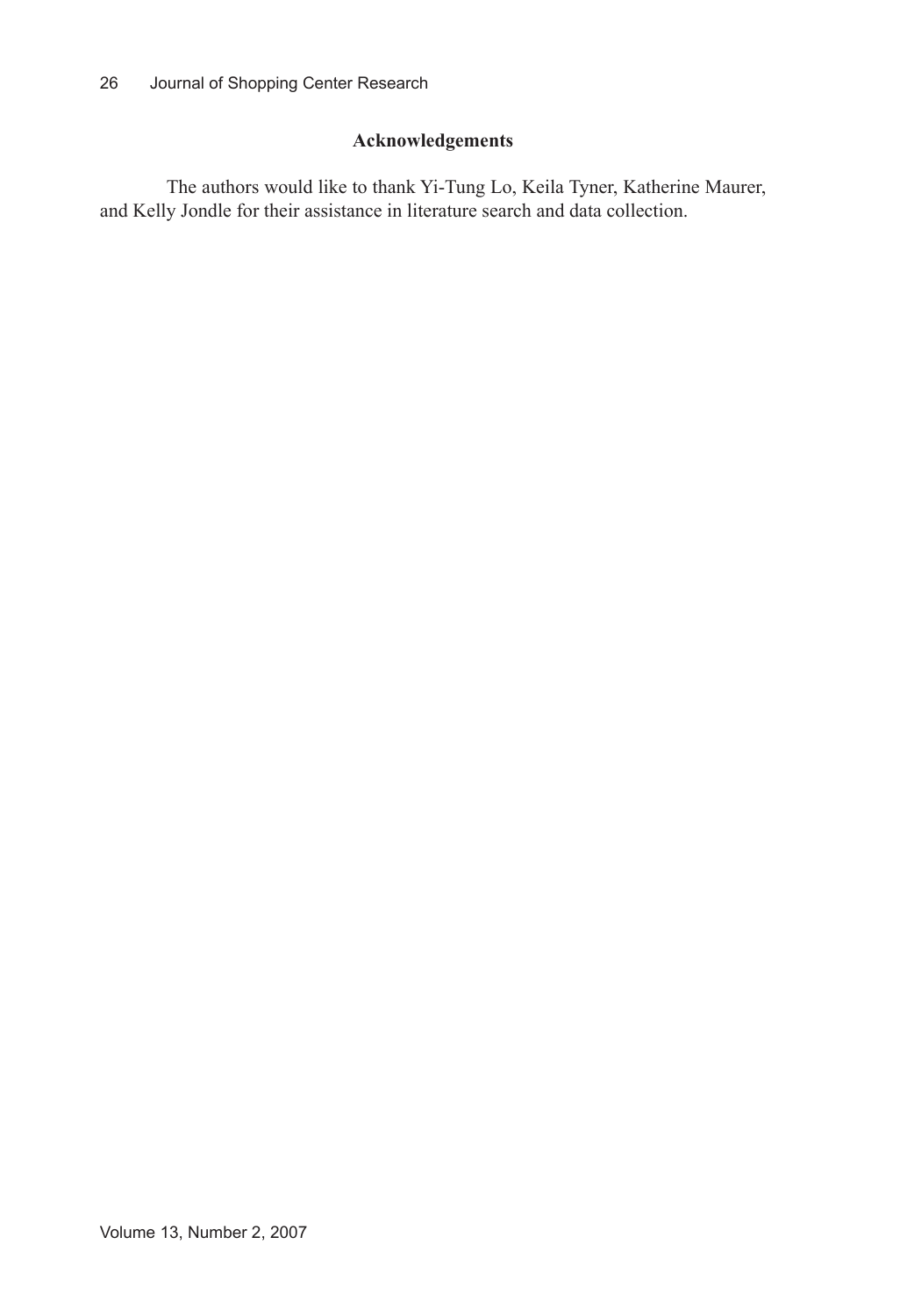# **Acknowledgements**

The authors would like to thank Yi-Tung Lo, Keila Tyner, Katherine Maurer, and Kelly Jondle for their assistance in literature search and data collection.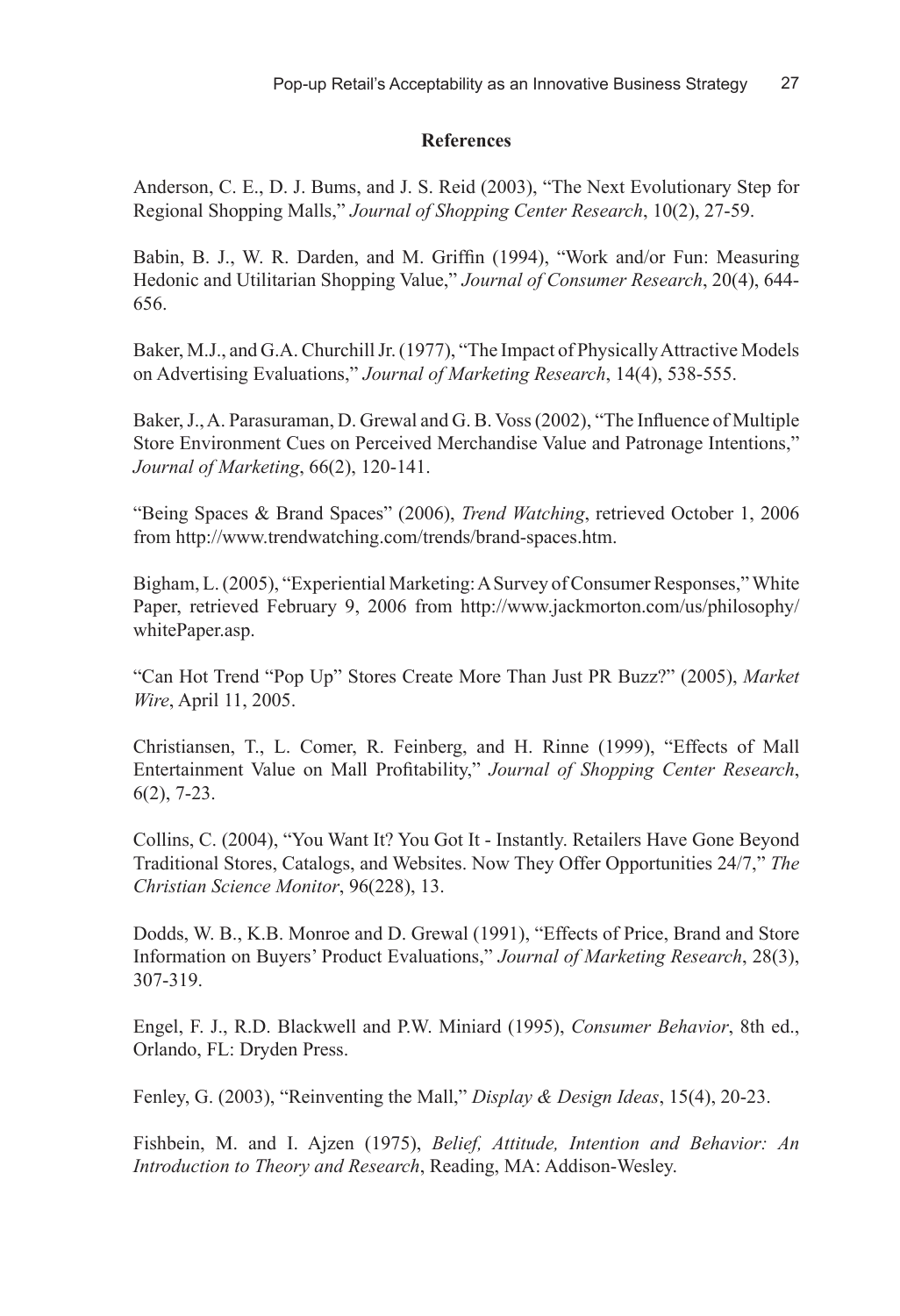#### **References**

Anderson, C. E., D. J. Bums, and J. S. Reid (2003), "The Next Evolutionary Step for Regional Shopping Malls," *Journal of Shopping Center Research*, 10(2), 27-59.

Babin, B. J., W. R. Darden, and M. Griffin (1994), "Work and/or Fun: Measuring Hedonic and Utilitarian Shopping Value," *Journal of Consumer Research*, 20(4), 644- 656.

Baker, M.J., and G.A. Churchill Jr. (1977), "The Impact of Physically Attractive Models on Advertising Evaluations," *Journal of Marketing Research*, 14(4), 538-555.

Baker, J., A. Parasuraman, D. Grewal and G. B. Voss (2002), "The Influence of Multiple Store Environment Cues on Perceived Merchandise Value and Patronage Intentions," *Journal of Marketing*, 66(2), 120-141.

"Being Spaces & Brand Spaces" (2006), *Trend Watching*, retrieved October 1, 2006 from http://www.trendwatching.com/trends/brand-spaces.htm.

Bigham, L. (2005), "Experiential Marketing: A Survey of Consumer Responses," White Paper, retrieved February 9, 2006 from http://www.jackmorton.com/us/philosophy/ whitePaper.asp.

"Can Hot Trend "Pop Up" Stores Create More Than Just PR Buzz?" (2005), *Market Wire*, April 11, 2005.

Christiansen, T., L. Comer, R. Feinberg, and H. Rinne (1999), "Effects of Mall Entertainment Value on Mall Profitability," *Journal of Shopping Center Research*, 6(2), 7-23.

Collins, C. (2004), "You Want It? You Got It - Instantly. Retailers Have Gone Beyond Traditional Stores, Catalogs, and Websites. Now They Offer Opportunities 24/7," *The Christian Science Monitor*, 96(228), 13.

Dodds, W. B., K.B. Monroe and D. Grewal (1991), "Effects of Price, Brand and Store Information on Buyers' Product Evaluations," *Journal of Marketing Research*, 28(3), 307-319.

Engel, F. J., R.D. Blackwell and P.W. Miniard (1995), *Consumer Behavior*, 8th ed., Orlando, FL: Dryden Press.

Fenley, G. (2003), "Reinventing the Mall," *Display & Design Ideas*, 15(4), 20-23.

Fishbein, M. and I. Ajzen (1975), *Belief, Attitude, Intention and Behavior: An Introduction to Theory and Research*, Reading, MA: Addison-Wesley.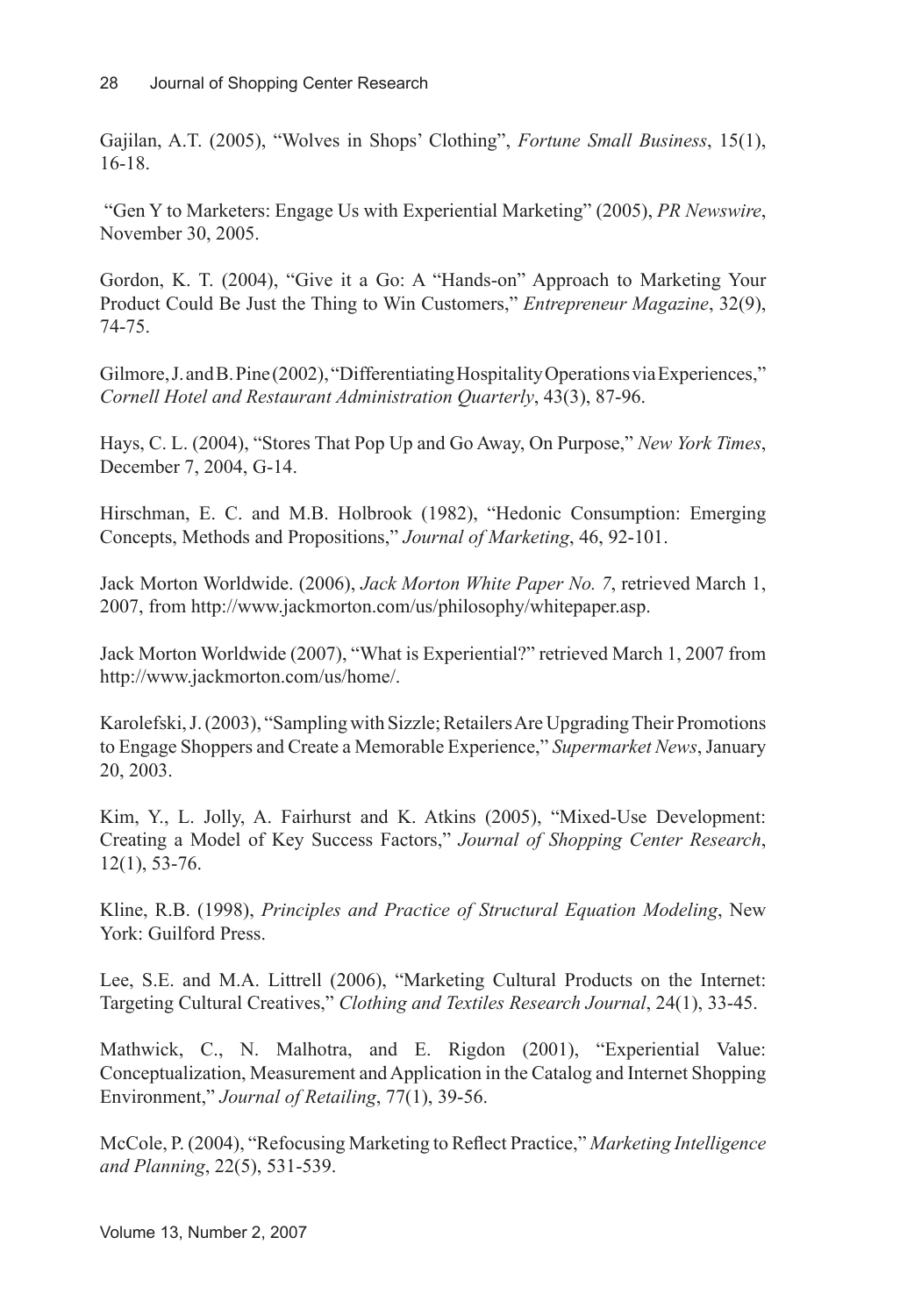Gajilan, A.T. (2005), "Wolves in Shops' Clothing", *Fortune Small Business*, 15(1), 16-18.

 "Gen Y to Marketers: Engage Us with Experiential Marketing" (2005), *PR Newswire*, November 30, 2005.

Gordon, K. T. (2004), "Give it a Go: A "Hands-on" Approach to Marketing Your Product Could Be Just the Thing to Win Customers," *Entrepreneur Magazine*, 32(9), 74-75.

Gilmore, J. and B. Pine (2002), "Differentiating Hospitality Operations via Experiences," *Cornell Hotel and Restaurant Administration Quarterly*, 43(3), 87-96.

Hays, C. L. (2004), "Stores That Pop Up and Go Away, On Purpose," *New York Times*, December 7, 2004, G-14.

Hirschman, E. C. and M.B. Holbrook (1982), "Hedonic Consumption: Emerging Concepts, Methods and Propositions," *Journal of Marketing*, 46, 92-101.

Jack Morton Worldwide. (2006), *Jack Morton White Paper No. 7*, retrieved March 1, 2007, from http://www.jackmorton.com/us/philosophy/whitepaper.asp.

Jack Morton Worldwide (2007), "What is Experiential?" retrieved March 1, 2007 from http://www.jackmorton.com/us/home/.

Karolefski, J. (2003), "Sampling with Sizzle; Retailers Are Upgrading Their Promotions to Engage Shoppers and Create a Memorable Experience," *Supermarket News*, January 20, 2003.

Kim, Y., L. Jolly, A. Fairhurst and K. Atkins (2005), "Mixed-Use Development: Creating a Model of Key Success Factors," *Journal of Shopping Center Research*, 12(1), 53-76.

Kline, R.B. (1998), *Principles and Practice of Structural Equation Modeling*, New York: Guilford Press.

Lee, S.E. and M.A. Littrell (2006), "Marketing Cultural Products on the Internet: Targeting Cultural Creatives," *Clothing and Textiles Research Journal*, 24(1), 33-45.

Mathwick, C., N. Malhotra, and E. Rigdon (2001), "Experiential Value: Conceptualization, Measurement and Application in the Catalog and Internet Shopping Environment," *Journal of Retailing*, 77(1), 39-56.

McCole, P. (2004), "Refocusing Marketing to Reflect Practice," *Marketing Intelligence and Planning*, 22(5), 531-539.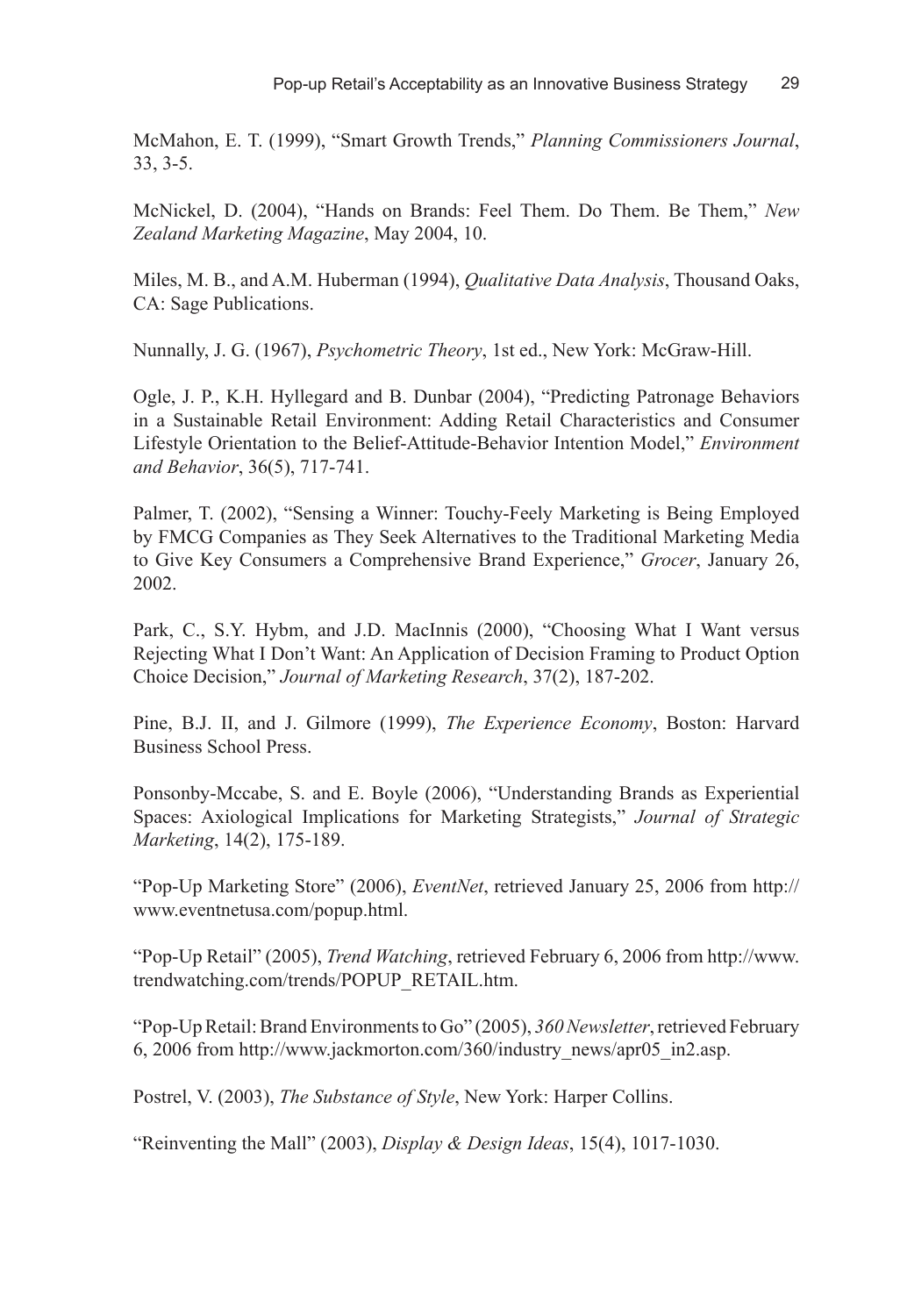McMahon, E. T. (1999), "Smart Growth Trends," *Planning Commissioners Journal*, 33, 3-5.

McNickel, D. (2004), "Hands on Brands: Feel Them. Do Them. Be Them," *New Zealand Marketing Magazine*, May 2004, 10.

Miles, M. B., and A.M. Huberman (1994), *Qualitative Data Analysis*, Thousand Oaks, CA: Sage Publications.

Nunnally, J. G. (1967), *Psychometric Theory*, 1st ed., New York: McGraw-Hill.

Ogle, J. P., K.H. Hyllegard and B. Dunbar (2004), "Predicting Patronage Behaviors in a Sustainable Retail Environment: Adding Retail Characteristics and Consumer Lifestyle Orientation to the Belief-Attitude-Behavior Intention Model," *Environment and Behavior*, 36(5), 717-741.

Palmer, T. (2002), "Sensing a Winner: Touchy-Feely Marketing is Being Employed by FMCG Companies as They Seek Alternatives to the Traditional Marketing Media to Give Key Consumers a Comprehensive Brand Experience," *Grocer*, January 26, 2002.

Park, C., S.Y. Hybm, and J.D. MacInnis (2000), "Choosing What I Want versus Rejecting What I Don't Want: An Application of Decision Framing to Product Option Choice Decision," *Journal of Marketing Research*, 37(2), 187-202.

Pine, B.J. II, and J. Gilmore (1999), *The Experience Economy*, Boston: Harvard Business School Press.

Ponsonby-Mccabe, S. and E. Boyle (2006), "Understanding Brands as Experiential Spaces: Axiological Implications for Marketing Strategists," *Journal of Strategic Marketing*, 14(2), 175-189.

"Pop-Up Marketing Store" (2006), *EventNet*, retrieved January 25, 2006 from http:// www.eventnetusa.com/popup.html.

"Pop-Up Retail" (2005), *Trend Watching*, retrieved February 6, 2006 from http://www. trendwatching.com/trends/POPUP\_RETAIL.htm.

"Pop-Up Retail: Brand Environments to Go" (2005), *360 Newsletter*, retrieved February 6, 2006 from http://www.jackmorton.com/360/industry\_news/apr05\_in2.asp.

Postrel, V. (2003), *The Substance of Style*, New York: Harper Collins.

"Reinventing the Mall" (2003), *Display & Design Ideas*, 15(4), 1017-1030.